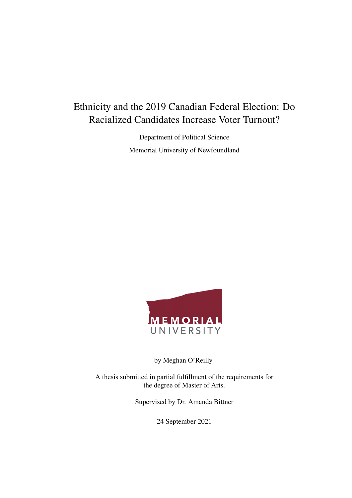### <span id="page-0-0"></span>Ethnicity and the 2019 Canadian Federal Election: Do Racialized Candidates Increase Voter Turnout?

Department of Political Science Memorial University of Newfoundland



by Meghan O'Reilly

A thesis submitted in partial fulfillment of the requirements for the degree of Master of Arts.

Supervised by Dr. Amanda Bittner

24 September 2021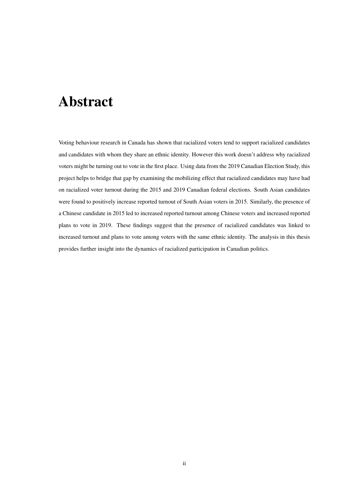# Abstract

Voting behaviour research in Canada has shown that racialized voters tend to support racialized candidates and candidates with whom they share an ethnic identity. However this work doesn't address why racialized voters might be turning out to vote in the first place. Using data from the 2019 Canadian Election Study, this project helps to bridge that gap by examining the mobilizing effect that racialized candidates may have had on racialized voter turnout during the 2015 and 2019 Canadian federal elections. South Asian candidates were found to positively increase reported turnout of South Asian voters in 2015. Similarly, the presence of a Chinese candidate in 2015 led to increased reported turnout among Chinese voters and increased reported plans to vote in 2019. These findings suggest that the presence of racialized candidates was linked to increased turnout and plans to vote among voters with the same ethnic identity. The analysis in this thesis provides further insight into the dynamics of racialized participation in Canadian politics.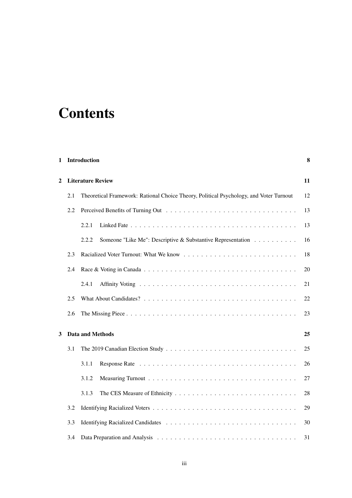# **Contents**

| 1 | Introduction                                                                                  |                                                                      |    |  |  |  |
|---|-----------------------------------------------------------------------------------------------|----------------------------------------------------------------------|----|--|--|--|
| 2 |                                                                                               | <b>Literature Review</b>                                             |    |  |  |  |
|   | Theoretical Framework: Rational Choice Theory, Political Psychology, and Voter Turnout<br>2.1 |                                                                      |    |  |  |  |
|   | 2.2                                                                                           |                                                                      | 13 |  |  |  |
|   |                                                                                               | 2.2.1                                                                | 13 |  |  |  |
|   |                                                                                               | Someone "Like Me": Descriptive & Substantive Representation<br>2.2.2 | 16 |  |  |  |
|   | 2.3                                                                                           |                                                                      | 18 |  |  |  |
|   | 2.4                                                                                           |                                                                      | 20 |  |  |  |
|   |                                                                                               | 2.4.1                                                                | 21 |  |  |  |
|   | 2.5                                                                                           |                                                                      | 22 |  |  |  |
|   | 2.6                                                                                           |                                                                      | 23 |  |  |  |
| 3 |                                                                                               | <b>Data and Methods</b><br>25                                        |    |  |  |  |
|   | 3.1                                                                                           |                                                                      |    |  |  |  |
|   |                                                                                               | 3.1.1                                                                | 26 |  |  |  |
|   |                                                                                               | 3.1.2                                                                | 27 |  |  |  |
|   |                                                                                               | 3.1.3                                                                | 28 |  |  |  |
|   | 3.2                                                                                           |                                                                      | 29 |  |  |  |
|   | 3.3                                                                                           |                                                                      | 30 |  |  |  |
|   | 3.4                                                                                           |                                                                      | 31 |  |  |  |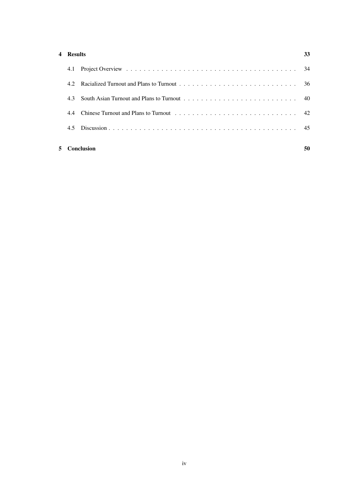#### [4 Results](#page-31-0) 33

|     | <b>Conclusion</b>                                                   | 50 |
|-----|---------------------------------------------------------------------|----|
| 4.5 |                                                                     |    |
| 44  |                                                                     |    |
| 43  | South Asian Turnout and Plans to Turnout $\ldots$ , , , , , , ,  40 |    |
|     |                                                                     |    |
|     |                                                                     |    |
|     |                                                                     |    |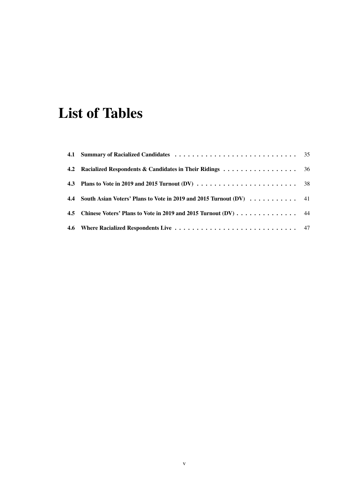# List of Tables

| 4.4 South Asian Voters' Plans to Vote in 2019 and 2015 Turnout (DV) 41 |  |
|------------------------------------------------------------------------|--|
| 4.5 Chinese Voters' Plans to Vote in 2019 and 2015 Turnout (DV) 44     |  |
|                                                                        |  |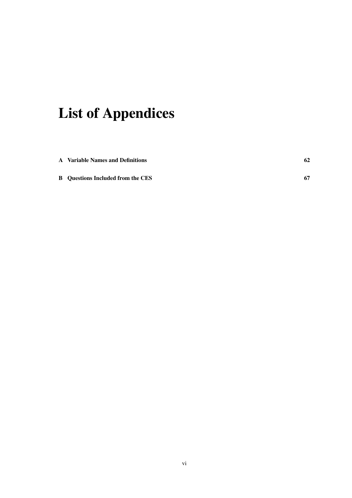# List of Appendices

| <b>A</b> Variable Names and Definitions  | 62 |
|------------------------------------------|----|
| <b>B</b> Ouestions Included from the CES | 67 |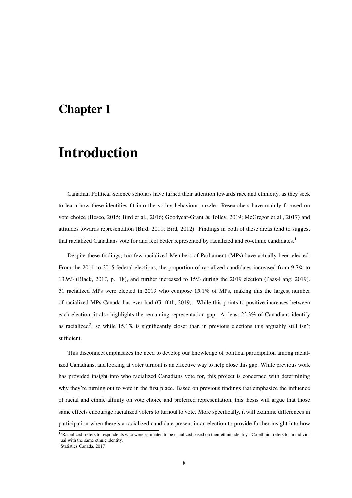### <span id="page-6-0"></span>Chapter 1

# Introduction

Canadian Political Science scholars have turned their attention towards race and ethnicity, as they seek to learn how these identities fit into the voting behaviour puzzle. Researchers have mainly focused on vote choice (Besco, 2015; Bird et al., 2016; Goodyear-Grant & Tolley, 2019; McGregor et al., 2017) and attitudes towards representation (Bird, 2011; Bird, 2012). Findings in both of these areas tend to suggest that racialized Canadians vote for and feel better represented by racialized and co-ethnic candidates.[1](#page-0-0)

Despite these findings, too few racialized Members of Parliament (MPs) have actually been elected. From the 2011 to 2015 federal elections, the proportion of racialized candidates increased from 9.7% to 13.9% (Black, 2017, p. 18), and further increased to 15% during the 2019 election (Paas-Lang, 2019). 51 racialized MPs were elected in 2019 who compose 15.1% of MPs, making this the largest number of racialized MPs Canada has ever had (Griffith, 2019). While this points to positive increases between each election, it also highlights the remaining representation gap. At least 22.3% of Canadians identify as racialized<sup>[2](#page-0-0)</sup>, so while 15.1% is significantly closer than in previous elections this arguably still isn't sufficient.

This disconnect emphasizes the need to develop our knowledge of political participation among racialized Canadians, and looking at voter turnout is an effective way to help close this gap. While previous work has provided insight into who racialized Canadians vote for, this project is concerned with determining why they're turning out to vote in the first place. Based on previous findings that emphasize the influence of racial and ethnic affinity on vote choice and preferred representation, this thesis will argue that those same effects encourage racialized voters to turnout to vote. More specifically, it will examine differences in participation when there's a racialized candidate present in an election to provide further insight into how

<sup>&</sup>lt;sup>1</sup>'Racialized' refers to respondents who were estimated to be racialized based on their ethnic identity. 'Co-ethnic' refers to an individual with the same ethnic identity.

<sup>&</sup>lt;sup>2</sup>Statistics Canada, 2017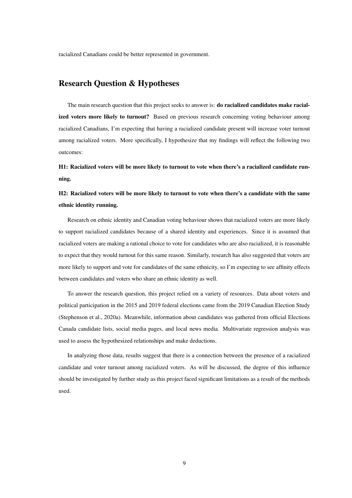racialized Canadians could be better represented in government.

#### Research Question & Hypotheses

The main research question that this project seeks to answer is: do racialized candidates make racialized voters more likely to turnout? Based on previous research concerning voting behaviour among racialized Canadians, I'm expecting that having a racialized candidate present will increase voter turnout among racialized voters. More specifically, I hypothesize that my findings will reflect the following two outcomes:

H1: Racialized voters will be more likely to turnout to vote when there's a racialized candidate running.

H2: Racialized voters will be more likely to turnout to vote when there's a candidate with the same ethnic identity running.

Research on ethnic identity and Canadian voting behaviour shows that racialized voters are more likely to support racialized candidates because of a shared identity and experiences. Since it is assumed that racialized voters are making a rational choice to vote for candidates who are also racialized, it is reasonable to expect that they would turnout for this same reason. Similarly, research has also suggested that voters are more likely to support and vote for candidates of the same ethnicity, so I'm expecting to see affinity effects between candidates and voters who share an ethnic identity as well.

To answer the research question, this project relied on a variety of resources. Data about voters and political participation in the 2015 and 2019 federal elections came from the 2019 Canadian Election Study (Stephenson et al., 2020a). Meanwhile, information about candidates was gathered from official Elections Canada candidate lists, social media pages, and local news media. Multivariate regression analysis was used to assess the hypothesized relationships and make deductions.

In analyzing those data, results suggest that there is a connection between the presence of a racialized candidate and voter turnout among racialized voters. As will be discussed, the degree of this influence should be investigated by further study as this project faced significant limitations as a result of the methods used.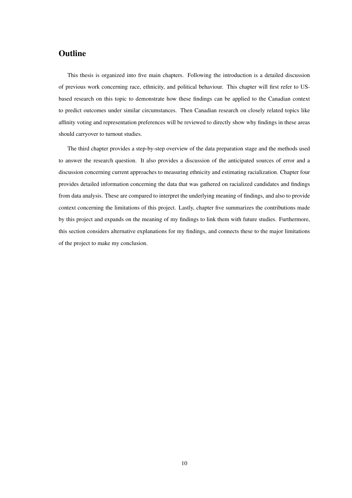#### **Outline**

This thesis is organized into five main chapters. Following the introduction is a detailed discussion of previous work concerning race, ethnicity, and political behaviour. This chapter will first refer to USbased research on this topic to demonstrate how these findings can be applied to the Canadian context to predict outcomes under similar circumstances. Then Canadian research on closely related topics like affinity voting and representation preferences will be reviewed to directly show why findings in these areas should carryover to turnout studies.

The third chapter provides a step-by-step overview of the data preparation stage and the methods used to answer the research question. It also provides a discussion of the anticipated sources of error and a discussion concerning current approaches to measuring ethnicity and estimating racialization. Chapter four provides detailed information concerning the data that was gathered on racialized candidates and findings from data analysis. These are compared to interpret the underlying meaning of findings, and also to provide context concerning the limitations of this project. Lastly, chapter five summarizes the contributions made by this project and expands on the meaning of my findings to link them with future studies. Furthermore, this section considers alternative explanations for my findings, and connects these to the major limitations of the project to make my conclusion.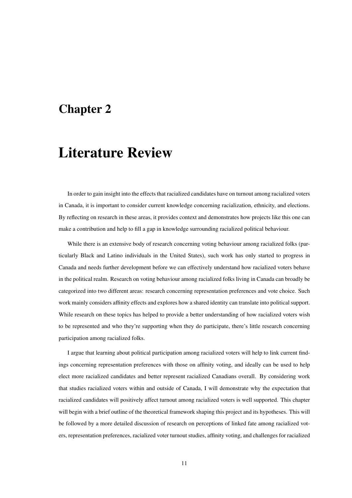### <span id="page-9-0"></span>Chapter 2

# Literature Review

In order to gain insight into the effects that racialized candidates have on turnout among racialized voters in Canada, it is important to consider current knowledge concerning racialization, ethnicity, and elections. By reflecting on research in these areas, it provides context and demonstrates how projects like this one can make a contribution and help to fill a gap in knowledge surrounding racialized political behaviour.

While there is an extensive body of research concerning voting behaviour among racialized folks (particularly Black and Latino individuals in the United States), such work has only started to progress in Canada and needs further development before we can effectively understand how racialized voters behave in the political realm. Research on voting behaviour among racialized folks living in Canada can broadly be categorized into two different areas: research concerning representation preferences and vote choice. Such work mainly considers affinity effects and explores how a shared identity can translate into political support. While research on these topics has helped to provide a better understanding of how racialized voters wish to be represented and who they're supporting when they do participate, there's little research concerning participation among racialized folks.

I argue that learning about political participation among racialized voters will help to link current findings concerning representation preferences with those on affinity voting, and ideally can be used to help elect more racialized candidates and better represent racialized Canadians overall. By considering work that studies racialized voters within and outside of Canada, I will demonstrate why the expectation that racialized candidates will positively affect turnout among racialized voters is well supported. This chapter will begin with a brief outline of the theoretical framework shaping this project and its hypotheses. This will be followed by a more detailed discussion of research on perceptions of linked fate among racialized voters, representation preferences, racialized voter turnout studies, affinity voting, and challenges for racialized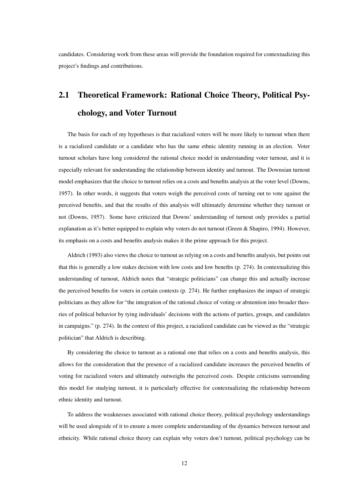candidates. Considering work from these areas will provide the foundation required for contextualizing this project's findings and contributions.

### <span id="page-10-0"></span>2.1 Theoretical Framework: Rational Choice Theory, Political Psychology, and Voter Turnout

The basis for each of my hypotheses is that racialized voters will be more likely to turnout when there is a racialized candidate or a candidate who has the same ethnic identity running in an election. Voter turnout scholars have long considered the rational choice model in understanding voter turnout, and it is especially relevant for understanding the relationship between identity and turnout. The Downsian turnout model emphasizes that the choice to turnout relies on a costs and benefits analysis at the voter level (Downs, 1957). In other words, it suggests that voters weigh the perceived costs of turning out to vote against the perceived benefits, and that the results of this analysis will ultimately determine whether they turnout or not (Downs, 1957). Some have criticized that Downs' understanding of turnout only provides a partial explanation as it's better equipped to explain why voters do not turnout (Green & Shapiro, 1994). However, its emphasis on a costs and benefits analysis makes it the prime approach for this project.

Aldrich (1993) also views the choice to turnout as relying on a costs and benefits analysis, but points out that this is generally a low stakes decision with low costs and low benefits (p. 274). In contextualizing this understanding of turnout, Aldrich notes that "strategic politicians" can change this and actually increase the perceived benefits for voters in certain contexts (p. 274). He further emphasizes the impact of strategic politicians as they allow for "the integration of the rational choice of voting or abstention into broader theories of political behavior by tying individuals' decisions with the actions of parties, groups, and candidates in campaigns." (p. 274). In the context of this project, a racialized candidate can be viewed as the "strategic politician" that Aldrich is describing.

By considering the choice to turnout as a rational one that relies on a costs and benefits analysis, this allows for the consideration that the presence of a racialized candidate increases the perceived benefits of voting for racialized voters and ultimately outweighs the perceived costs. Despite criticisms surrounding this model for studying turnout, it is particularly effective for contextualizing the relationship between ethnic identity and turnout.

To address the weaknesses associated with rational choice theory, political psychology understandings will be used alongside of it to ensure a more complete understanding of the dynamics between turnout and ethnicity. While rational choice theory can explain why voters don't turnout, political psychology can be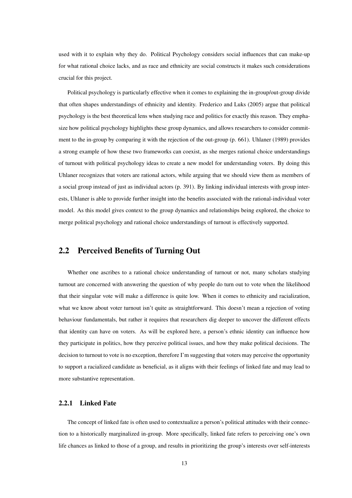used with it to explain why they do. Political Psychology considers social influences that can make-up for what rational choice lacks, and as race and ethnicity are social constructs it makes such considerations crucial for this project.

Political psychology is particularly effective when it comes to explaining the in-group/out-group divide that often shapes understandings of ethnicity and identity. Frederico and Luks (2005) argue that political psychology is the best theoretical lens when studying race and politics for exactly this reason. They emphasize how political psychology highlights these group dynamics, and allows researchers to consider commitment to the in-group by comparing it with the rejection of the out-group (p. 661). Uhlaner (1989) provides a strong example of how these two frameworks can coexist, as she merges rational choice understandings of turnout with political psychology ideas to create a new model for understanding voters. By doing this Uhlaner recognizes that voters are rational actors, while arguing that we should view them as members of a social group instead of just as individual actors (p. 391). By linking individual interests with group interests, Uhlaner is able to provide further insight into the benefits associated with the rational-individual voter model. As this model gives context to the group dynamics and relationships being explored, the choice to merge political psychology and rational choice understandings of turnout is effectively supported.

#### <span id="page-11-0"></span>2.2 Perceived Benefits of Turning Out

Whether one ascribes to a rational choice understanding of turnout or not, many scholars studying turnout are concerned with answering the question of why people do turn out to vote when the likelihood that their singular vote will make a difference is quite low. When it comes to ethnicity and racialization, what we know about voter turnout isn't quite as straightforward. This doesn't mean a rejection of voting behaviour fundamentals, but rather it requires that researchers dig deeper to uncover the different effects that identity can have on voters. As will be explored here, a person's ethnic identity can influence how they participate in politics, how they perceive political issues, and how they make political decisions. The decision to turnout to vote is no exception, therefore I'm suggesting that voters may perceive the opportunity to support a racialized candidate as beneficial, as it aligns with their feelings of linked fate and may lead to more substantive representation.

#### <span id="page-11-1"></span>2.2.1 Linked Fate

The concept of linked fate is often used to contextualize a person's political attitudes with their connection to a historically marginalized in-group. More specifically, linked fate refers to perceiving one's own life chances as linked to those of a group, and results in prioritizing the group's interests over self-interests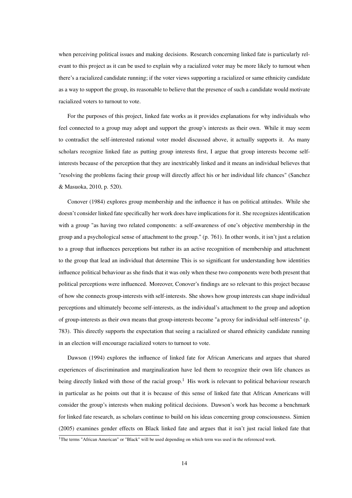when perceiving political issues and making decisions. Research concerning linked fate is particularly relevant to this project as it can be used to explain why a racialized voter may be more likely to turnout when there's a racialized candidate running; if the voter views supporting a racialized or same ethnicity candidate as a way to support the group, its reasonable to believe that the presence of such a candidate would motivate racialized voters to turnout to vote.

For the purposes of this project, linked fate works as it provides explanations for why individuals who feel connected to a group may adopt and support the group's interests as their own. While it may seem to contradict the self-interested rational voter model discussed above, it actually supports it. As many scholars recognize linked fate as putting group interests first, I argue that group interests become selfinterests because of the perception that they are inextricably linked and it means an individual believes that "resolving the problems facing their group will directly affect his or her individual life chances" (Sanchez & Masuoka, 2010, p. 520).

Conover (1984) explores group membership and the influence it has on political attitudes. While she doesn't consider linked fate specifically her work does have implications for it. She recognizes identification with a group "as having two related components: a self-awareness of one's objective membership in the group and a psychological sense of attachment to the group." (p. 761). In other words, it isn't just a relation to a group that influences perceptions but rather its an active recognition of membership and attachment to the group that lead an individual that determine This is so significant for understanding how identities influence political behaviour as she finds that it was only when these two components were both present that political perceptions were influenced. Moreover, Conover's findings are so relevant to this project because of how she connects group-interests with self-interests. She shows how group interests can shape individual perceptions and ultimately become self-interests, as the individual's attachment to the group and adoption of group-interests as their own means that group-interests become "a proxy for individual self-interests" (p. 783). This directly supports the expectation that seeing a racialized or shared ethnicity candidate running in an election will encourage racialized voters to turnout to vote.

Dawson (1994) explores the influence of linked fate for African Americans and argues that shared experiences of discrimination and marginalization have led them to recognize their own life chances as being directly linked with those of the racial group.<sup>[1](#page-0-0)</sup> His work is relevant to political behaviour research in particular as he points out that it is because of this sense of linked fate that African Americans will consider the group's interests when making political decisions. Dawson's work has become a benchmark for linked fate research, as scholars continue to build on his ideas concerning group consciousness. Simien (2005) examines gender effects on Black linked fate and argues that it isn't just racial linked fate that

<sup>&</sup>lt;sup>1</sup>The terms "African American" or "Black" will be used depending on which term was used in the referenced work.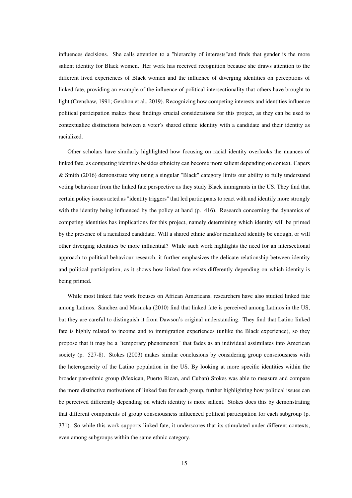influences decisions. She calls attention to a "hierarchy of interests"and finds that gender is the more salient identity for Black women. Her work has received recognition because she draws attention to the different lived experiences of Black women and the influence of diverging identities on perceptions of linked fate, providing an example of the influence of political intersectionality that others have brought to light (Crenshaw, 1991; Gershon et al., 2019). Recognizing how competing interests and identities influence political participation makes these findings crucial considerations for this project, as they can be used to contextualize distinctions between a voter's shared ethnic identity with a candidate and their identity as racialized.

Other scholars have similarly highlighted how focusing on racial identity overlooks the nuances of linked fate, as competing identities besides ethnicity can become more salient depending on context. Capers & Smith (2016) demonstrate why using a singular "Black" category limits our ability to fully understand voting behaviour from the linked fate perspective as they study Black immigrants in the US. They find that certain policy issues acted as "identity triggers" that led participants to react with and identify more strongly with the identity being influenced by the policy at hand (p. 416). Research concerning the dynamics of competing identities has implications for this project, namely determining which identity will be primed by the presence of a racialized candidate. Will a shared ethnic and/or racialized identity be enough, or will other diverging identities be more influential? While such work highlights the need for an intersectional approach to political behaviour research, it further emphasizes the delicate relationship between identity and political participation, as it shows how linked fate exists differently depending on which identity is being primed.

While most linked fate work focuses on African Americans, researchers have also studied linked fate among Latinos. Sanchez and Masuoka (2010) find that linked fate is perceived among Latinos in the US, but they are careful to distinguish it from Dawson's original understanding. They find that Latino linked fate is highly related to income and to immigration experiences (unlike the Black experience), so they propose that it may be a "temporary phenomenon" that fades as an individual assimilates into American society (p. 527-8). Stokes (2003) makes similar conclusions by considering group consciousness with the heterogeneity of the Latino population in the US. By looking at more specific identities within the broader pan-ethnic group (Mexican, Puerto Rican, and Cuban) Stokes was able to measure and compare the more distinctive motivations of linked fate for each group, further highlighting how political issues can be perceived differently depending on which identity is more salient. Stokes does this by demonstrating that different components of group consciousness influenced political participation for each subgroup (p. 371). So while this work supports linked fate, it underscores that its stimulated under different contexts, even among subgroups within the same ethnic category.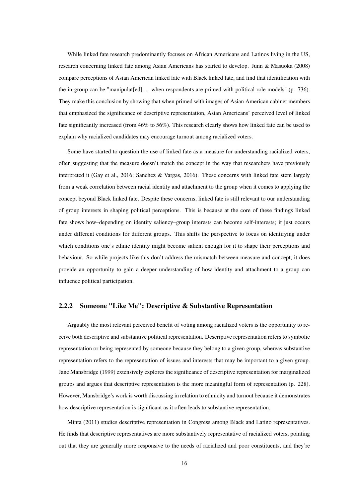While linked fate research predominantly focuses on African Americans and Latinos living in the US, research concerning linked fate among Asian Americans has started to develop. Junn & Masuoka (2008) compare perceptions of Asian American linked fate with Black linked fate, and find that identification with the in-group can be "manipulat[ed] ... when respondents are primed with political role models" (p. 736). They make this conclusion by showing that when primed with images of Asian American cabinet members that emphasized the significance of descriptive representation, Asian Americans' perceived level of linked fate significantly increased (from 46% to 56%). This research clearly shows how linked fate can be used to explain why racialized candidates may encourage turnout among racialized voters.

Some have started to question the use of linked fate as a measure for understanding racialized voters, often suggesting that the measure doesn't match the concept in the way that researchers have previously interpreted it (Gay et al., 2016; Sanchez & Vargas, 2016). These concerns with linked fate stem largely from a weak correlation between racial identity and attachment to the group when it comes to applying the concept beyond Black linked fate. Despite these concerns, linked fate is still relevant to our understanding of group interests in shaping political perceptions. This is because at the core of these findings linked fate shows how–depending on identity saliency–group interests can become self-interests; it just occurs under different conditions for different groups. This shifts the perspective to focus on identifying under which conditions one's ethnic identity might become salient enough for it to shape their perceptions and behaviour. So while projects like this don't address the mismatch between measure and concept, it does provide an opportunity to gain a deeper understanding of how identity and attachment to a group can influence political participation.

#### <span id="page-14-0"></span>2.2.2 Someone "Like Me": Descriptive & Substantive Representation

Arguably the most relevant perceived benefit of voting among racialized voters is the opportunity to receive both descriptive and substantive political representation. Descriptive representation refers to symbolic representation or being represented by someone because they belong to a given group, whereas substantive representation refers to the representation of issues and interests that may be important to a given group. Jane Mansbridge (1999) extensively explores the significance of descriptive representation for marginalized groups and argues that descriptive representation is the more meaningful form of representation (p. 228). However, Mansbridge's work is worth discussing in relation to ethnicity and turnout because it demonstrates how descriptive representation is significant as it often leads to substantive representation.

Minta (2011) studies descriptive representation in Congress among Black and Latino representatives. He finds that descriptive representatives are more substantively representative of racialized voters, pointing out that they are generally more responsive to the needs of racialized and poor constituents, and they're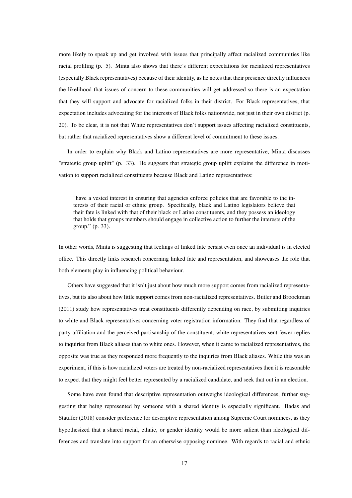more likely to speak up and get involved with issues that principally affect racialized communities like racial profiling (p. 5). Minta also shows that there's different expectations for racialized representatives (especially Black representatives) because of their identity, as he notes that their presence directly influences the likelihood that issues of concern to these communities will get addressed so there is an expectation that they will support and advocate for racialized folks in their district. For Black representatives, that expectation includes advocating for the interests of Black folks nationwide, not just in their own district (p. 20). To be clear, it is not that White representatives don't support issues affecting racialized constituents, but rather that racialized representatives show a different level of commitment to these issues.

In order to explain why Black and Latino representatives are more representative, Minta discusses "strategic group uplift" (p. 33). He suggests that strategic group uplift explains the difference in motivation to support racialized constituents because Black and Latino representatives:

"have a vested interest in ensuring that agencies enforce policies that are favorable to the interests of their racial or ethnic group. Specifically, black and Latino legislators believe that their fate is linked with that of their black or Latino constituents, and they possess an ideology that holds that groups members should engage in collective action to further the interests of the group." (p. 33).

In other words, Minta is suggesting that feelings of linked fate persist even once an individual is in elected office. This directly links research concerning linked fate and representation, and showcases the role that both elements play in influencing political behaviour.

Others have suggested that it isn't just about how much more support comes from racialized representatives, but its also about how little support comes from non-racialized representatives. Butler and Broockman (2011) study how representatives treat constituents differently depending on race, by submitting inquiries to white and Black representatives concerning voter registration information. They find that regardless of party affiliation and the perceived partisanship of the constituent, white representatives sent fewer replies to inquiries from Black aliases than to white ones. However, when it came to racialized representatives, the opposite was true as they responded more frequently to the inquiries from Black aliases. While this was an experiment, if this is how racialized voters are treated by non-racialized representatives then it is reasonable to expect that they might feel better represented by a racialized candidate, and seek that out in an election.

Some have even found that descriptive representation outweighs ideological differences, further suggesting that being represented by someone with a shared identity is especially significant. Badas and Stauffer (2018) consider preference for descriptive representation among Supreme Court nominees, as they hypothesized that a shared racial, ethnic, or gender identity would be more salient than ideological differences and translate into support for an otherwise opposing nominee. With regards to racial and ethnic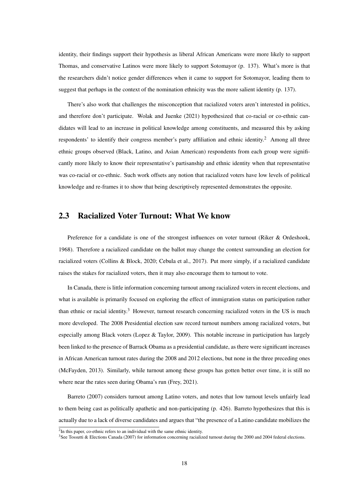identity, their findings support their hypothesis as liberal African Americans were more likely to support Thomas, and conservative Latinos were more likely to support Sotomayor (p. 137). What's more is that the researchers didn't notice gender differences when it came to support for Sotomayor, leading them to suggest that perhaps in the context of the nomination ethnicity was the more salient identity (p. 137).

There's also work that challenges the misconception that racialized voters aren't interested in politics, and therefore don't participate. Wolak and Juenke (2021) hypothesized that co-racial or co-ethnic candidates will lead to an increase in political knowledge among constituents, and measured this by asking respondents' to identify their congress member's party affiliation and ethnic identity.[2](#page-0-0) Among all three ethnic groups observed (Black, Latino, and Asian American) respondents from each group were significantly more likely to know their representative's partisanship and ethnic identity when that representative was co-racial or co-ethnic. Such work offsets any notion that racialized voters have low levels of political knowledge and re-frames it to show that being descriptively represented demonstrates the opposite.

#### <span id="page-16-0"></span>2.3 Racialized Voter Turnout: What We know

Preference for a candidate is one of the strongest influences on voter turnout (Riker & Ordeshook, 1968). Therefore a racialized candidate on the ballot may change the context surrounding an election for racialized voters (Collins & Block, 2020; Cebula et al., 2017). Put more simply, if a racialized candidate raises the stakes for racialized voters, then it may also encourage them to turnout to vote.

In Canada, there is little information concerning turnout among racialized voters in recent elections, and what is available is primarily focused on exploring the effect of immigration status on participation rather than ethnic or racial identity.<sup>[3](#page-0-0)</sup> However, turnout research concerning racialized voters in the US is much more developed. The 2008 Presidential election saw record turnout numbers among racialized voters, but especially among Black voters (Lopez & Taylor, 2009). This notable increase in participation has largely been linked to the presence of Barrack Obama as a presidential candidate, as there were significant increases in African American turnout rates during the 2008 and 2012 elections, but none in the three preceding ones (McFayden, 2013). Similarly, while turnout among these groups has gotten better over time, it is still no where near the rates seen during Obama's run (Frey, 2021).

Barreto (2007) considers turnout among Latino voters, and notes that low turnout levels unfairly lead to them being cast as politically apathetic and non-participating (p. 426). Barreto hypothesizes that this is actually due to a lack of diverse candidates and argues that "the presence of a Latino candidate mobilizes the

 $2$ In this paper, co-ethnic refers to an individual with the same ethnic identity.

<sup>&</sup>lt;sup>3</sup>See Tossutti & Elections Canada (2007) for information concerning racialized turnout during the 2000 and 2004 federal elections.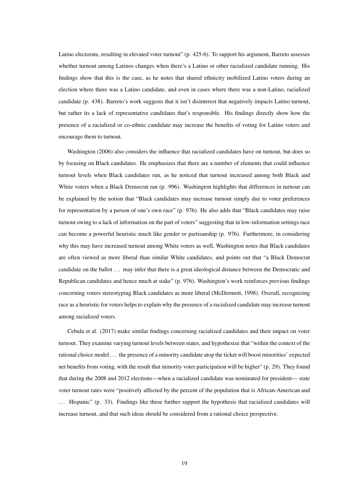Latino electorate, resulting in elevated voter turnout" (p. 425-6). To support his argument, Barreto assesses whether turnout among Latinos changes when there's a Latino or other racialized candidate running. His findings show that this is the case, as he notes that shared ethnicity mobilized Latino voters during an election where there was a Latino candidate, and even in cases where there was a non-Latino, racialized candidate (p. 438). Barreto's work suggests that it isn't disinterest that negatively impacts Latino turnout, but rather its a lack of representative candidates that's responsible. His findings directly show how the presence of a racialized or co-ethnic candidate may increase the benefits of voting for Latino voters and encourage them to turnout.

Washington (2006) also considers the influence that racialized candidates have on turnout, but does so by focusing on Black candidates. He emphasizes that there are a number of elements that could influence turnout levels when Black candidates run, as he noticed that turnout increased among both Black and White voters when a Black Democrat ran (p. 996). Washington highlights that differences in turnout can be explained by the notion that "Black candidates may increase turnout simply due to voter preferences for representation by a person of one's own race" (p. 976). He also adds that "Black candidates may raise turnout owing to a lack of information on the part of voters" suggesting that in low-information settings race can become a powerful heuristic much like gender or partisanship (p. 976). Furthermore, in considering why this may have increased turnout among White voters as well, Washington notes that Black candidates are often viewed as more liberal than similar White candidates, and points out that "a Black Democrat candidate on the ballot ... may infer that there is a great ideological distance between the Democratic and Republican candidates and hence much at stake" (p. 976). Washington's work reinforces previous findings concerning voters stereotyping Black candidates as more liberal (McDermott, 1998). Overall, recognizing race as a heuristic for voters helps to explain why the presence of a racialized candidate may increase turnout among racialized voters.

Cebula et al. (2017) make similar findings concerning racialized candidates and their impact on voter turnout. They examine varying turnout levels between states, and hypothesize that "within the context of the rational choice model . . . the presence of a minority candidate atop the ticket will boost minorities' expected net benefits from voting, with the result that minority voter participation will be higher" (p. 29). They found that during the 2008 and 2012 elections—when a racialized candidate was nominated for president— state voter turnout rates were "positively affected by the percent of the population that is African-American and . . . Hispanic" (p. 33). Findings like these further support the hypothesis that racialized candidates will increase turnout, and that such ideas should be considered from a rational choice perspective.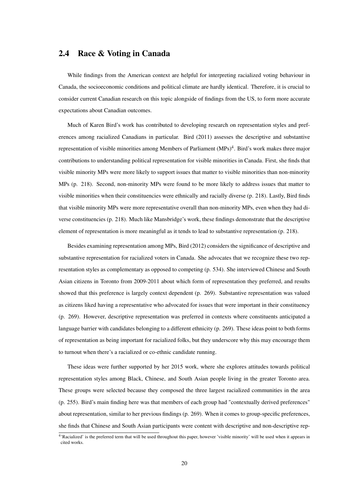#### <span id="page-18-0"></span>2.4 Race & Voting in Canada

While findings from the American context are helpful for interpreting racialized voting behaviour in Canada, the socioeconomic conditions and political climate are hardly identical. Therefore, it is crucial to consider current Canadian research on this topic alongside of findings from the US, to form more accurate expectations about Canadian outcomes.

Much of Karen Bird's work has contributed to developing research on representation styles and preferences among racialized Canadians in particular. Bird (2011) assesses the descriptive and substantive representation of visible minorities among Members of Parliament (MPs)<sup>[4](#page-0-0)</sup>. Bird's work makes three major contributions to understanding political representation for visible minorities in Canada. First, she finds that visible minority MPs were more likely to support issues that matter to visible minorities than non-minority MPs (p. 218). Second, non-minority MPs were found to be more likely to address issues that matter to visible minorities when their constituencies were ethnically and racially diverse (p. 218). Lastly, Bird finds that visible minority MPs were more representative overall than non-minority MPs, even when they had diverse constituencies (p. 218). Much like Mansbridge's work, these findings demonstrate that the descriptive element of representation is more meaningful as it tends to lead to substantive representation (p. 218).

Besides examining representation among MPs, Bird (2012) considers the significance of descriptive and substantive representation for racialized voters in Canada. She advocates that we recognize these two representation styles as complementary as opposed to competing (p. 534). She interviewed Chinese and South Asian citizens in Toronto from 2009-2011 about which form of representation they preferred, and results showed that this preference is largely context dependent (p. 269). Substantive representation was valued as citizens liked having a representative who advocated for issues that were important in their constituency (p. 269). However, descriptive representation was preferred in contexts where constituents anticipated a language barrier with candidates belonging to a different ethnicity (p. 269). These ideas point to both forms of representation as being important for racialized folks, but they underscore why this may encourage them to turnout when there's a racialized or co-ethnic candidate running.

These ideas were further supported by her 2015 work, where she explores attitudes towards political representation styles among Black, Chinese, and South Asian people living in the greater Toronto area. These groups were selected because they composed the three largest racialized communities in the area (p. 255). Bird's main finding here was that members of each group had "contextually derived preferences" about representation, similar to her previous findings (p. 269). When it comes to group-specific preferences, she finds that Chinese and South Asian participants were content with descriptive and non-descriptive rep-

<sup>&</sup>lt;sup>4</sup>'Racialized' is the preferred term that will be used throughout this paper, however 'visible minority' will be used when it appears in cited works.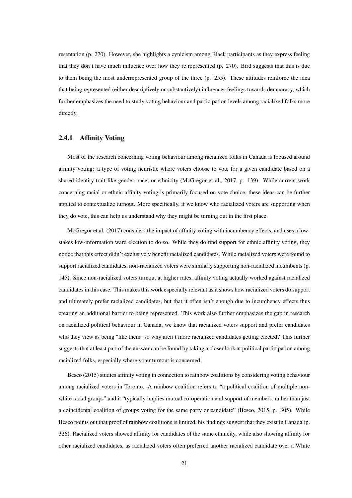resentation (p. 270). However, she highlights a cynicism among Black participants as they express feeling that they don't have much influence over how they're represented (p. 270). Bird suggests that this is due to them being the most underrepresented group of the three (p. 255). These attitudes reinforce the idea that being represented (either descriptively or substantively) influences feelings towards democracy, which further emphasizes the need to study voting behaviour and participation levels among racialized folks more directly.

#### <span id="page-19-0"></span>2.4.1 Affinity Voting

Most of the research concerning voting behaviour among racialized folks in Canada is focused around affinity voting: a type of voting heuristic where voters choose to vote for a given candidate based on a shared identity trait like gender, race, or ethnicity (McGregor et al., 2017, p. 139). While current work concerning racial or ethnic affinity voting is primarily focused on vote choice, these ideas can be further applied to contextualize turnout. More specifically, if we know who racialized voters are supporting when they do vote, this can help us understand why they might be turning out in the first place.

McGregor et al. (2017) considers the impact of affinity voting with incumbency effects, and uses a lowstakes low-information ward election to do so. While they do find support for ethnic affinity voting, they notice that this effect didn't exclusively benefit racialized candidates. While racialized voters were found to support racialized candidates, non-racialized voters were similarly supporting non-racialized incumbents (p. 145). Since non-racialized voters turnout at higher rates, affinity voting actually worked against racialized candidates in this case. This makes this work especially relevant as it shows how racialized voters do support and ultimately prefer racialized candidates, but that it often isn't enough due to incumbency effects thus creating an additional barrier to being represented. This work also further emphasizes the gap in research on racialized political behaviour in Canada; we know that racialized voters support and prefer candidates who they view as being "like them" so why aren't more racialized candidates getting elected? This further suggests that at least part of the answer can be found by taking a closer look at political participation among racialized folks, especially where voter turnout is concerned.

Besco (2015) studies affinity voting in connection to rainbow coalitions by considering voting behaviour among racialized voters in Toronto. A rainbow coalition refers to "a political coalition of multiple nonwhite racial groups" and it "typically implies mutual co-operation and support of members, rather than just a coincidental coalition of groups voting for the same party or candidate" (Besco, 2015, p. 305). While Besco points out that proof of rainbow coalitions is limited, his findings suggest that they exist in Canada (p. 326). Racialized voters showed affinity for candidates of the same ethnicity, while also showing affinity for other racialized candidates, as racialized voters often preferred another racialized candidate over a White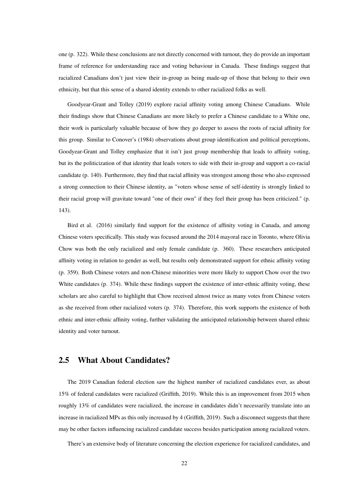one (p. 322). While these conclusions are not directly concerned with turnout, they do provide an important frame of reference for understanding race and voting behaviour in Canada. These findings suggest that racialized Canadians don't just view their in-group as being made-up of those that belong to their own ethnicity, but that this sense of a shared identity extends to other racialized folks as well.

Goodyear-Grant and Tolley (2019) explore racial affinity voting among Chinese Canadians. While their findings show that Chinese Canadians are more likely to prefer a Chinese candidate to a White one, their work is particularly valuable because of how they go deeper to assess the roots of racial affinity for this group. Similar to Conover's (1984) observations about group identification and political perceptions, Goodyear-Grant and Tolley emphasize that it isn't just group membership that leads to affinity voting, but its the politicization of that identity that leads voters to side with their in-group and support a co-racial candidate (p. 140). Furthermore, they find that racial affinity was strongest among those who also expressed a strong connection to their Chinese identity, as "voters whose sense of self-identity is strongly linked to their racial group will gravitate toward "one of their own" if they feel their group has been criticized." (p. 143).

Bird et al. (2016) similarly find support for the existence of affinity voting in Canada, and among Chinese voters specifically. This study was focused around the 2014 mayoral race in Toronto, where Olivia Chow was both the only racialized and only female candidate (p. 360). These researchers anticipated affinity voting in relation to gender as well, but results only demonstrated support for ethnic affinity voting (p. 359). Both Chinese voters and non-Chinese minorities were more likely to support Chow over the two White candidates (p. 374). While these findings support the existence of inter-ethnic affinity voting, these scholars are also careful to highlight that Chow received almost twice as many votes from Chinese voters as she received from other racialized voters (p. 374). Therefore, this work supports the existence of both ethnic and inter-ethnic affinity voting, further validating the anticipated relationship between shared ethnic identity and voter turnout.

#### <span id="page-20-0"></span>2.5 What About Candidates?

The 2019 Canadian federal election saw the highest number of racialized candidates ever, as about 15% of federal candidates were racialized (Griffith, 2019). While this is an improvement from 2015 when roughly 13% of candidates were racialized, the increase in candidates didn't necessarily translate into an increase in racialized MPs as this only increased by 4 (Griffith, 2019). Such a disconnect suggests that there may be other factors influencing racialized candidate success besides participation among racialized voters.

There's an extensive body of literature concerning the election experience for racialized candidates, and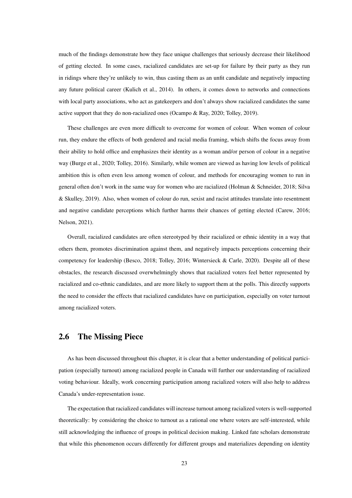much of the findings demonstrate how they face unique challenges that seriously decrease their likelihood of getting elected. In some cases, racialized candidates are set-up for failure by their party as they run in ridings where they're unlikely to win, thus casting them as an unfit candidate and negatively impacting any future political career (Kulich et al., 2014). In others, it comes down to networks and connections with local party associations, who act as gatekeepers and don't always show racialized candidates the same active support that they do non-racialized ones (Ocampo & Ray, 2020; Tolley, 2019).

These challenges are even more difficult to overcome for women of colour. When women of colour run, they endure the effects of both gendered and racial media framing, which shifts the focus away from their ability to hold office and emphasizes their identity as a woman and/or person of colour in a negative way (Burge et al., 2020; Tolley, 2016). Similarly, while women are viewed as having low levels of political ambition this is often even less among women of colour, and methods for encouraging women to run in general often don't work in the same way for women who are racialized (Holman & Schneider, 2018; Silva & Skulley, 2019). Also, when women of colour do run, sexist and racist attitudes translate into resentment and negative candidate perceptions which further harms their chances of getting elected (Carew, 2016; Nelson, 2021).

Overall, racialized candidates are often stereotyped by their racialized or ethnic identity in a way that others them, promotes discrimination against them, and negatively impacts perceptions concerning their competency for leadership (Besco, 2018; Tolley, 2016; Wintersieck & Carle, 2020). Despite all of these obstacles, the research discussed overwhelmingly shows that racialized voters feel better represented by racialized and co-ethnic candidates, and are more likely to support them at the polls. This directly supports the need to consider the effects that racialized candidates have on participation, especially on voter turnout among racialized voters.

#### <span id="page-21-0"></span>2.6 The Missing Piece

As has been discussed throughout this chapter, it is clear that a better understanding of political participation (especially turnout) among racialized people in Canada will further our understanding of racialized voting behaviour. Ideally, work concerning participation among racialized voters will also help to address Canada's under-representation issue.

The expectation that racialized candidates will increase turnout among racialized voters is well-supported theoretically: by considering the choice to turnout as a rational one where voters are self-interested, while still acknowledging the influence of groups in political decision making. Linked fate scholars demonstrate that while this phenomenon occurs differently for different groups and materializes depending on identity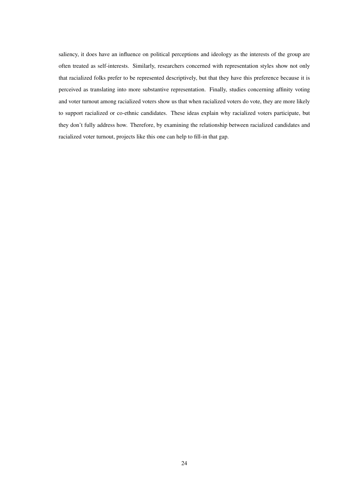saliency, it does have an influence on political perceptions and ideology as the interests of the group are often treated as self-interests. Similarly, researchers concerned with representation styles show not only that racialized folks prefer to be represented descriptively, but that they have this preference because it is perceived as translating into more substantive representation. Finally, studies concerning affinity voting and voter turnout among racialized voters show us that when racialized voters do vote, they are more likely to support racialized or co-ethnic candidates. These ideas explain why racialized voters participate, but they don't fully address how. Therefore, by examining the relationship between racialized candidates and racialized voter turnout, projects like this one can help to fill-in that gap.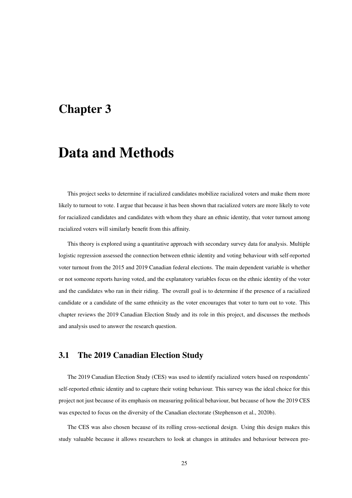### <span id="page-23-0"></span>Chapter 3

# Data and Methods

This project seeks to determine if racialized candidates mobilize racialized voters and make them more likely to turnout to vote. I argue that because it has been shown that racialized voters are more likely to vote for racialized candidates and candidates with whom they share an ethnic identity, that voter turnout among racialized voters will similarly benefit from this affinity.

This theory is explored using a quantitative approach with secondary survey data for analysis. Multiple logistic regression assessed the connection between ethnic identity and voting behaviour with self-reported voter turnout from the 2015 and 2019 Canadian federal elections. The main dependent variable is whether or not someone reports having voted, and the explanatory variables focus on the ethnic identity of the voter and the candidates who ran in their riding. The overall goal is to determine if the presence of a racialized candidate or a candidate of the same ethnicity as the voter encourages that voter to turn out to vote. This chapter reviews the 2019 Canadian Election Study and its role in this project, and discusses the methods and analysis used to answer the research question.

#### <span id="page-23-1"></span>3.1 The 2019 Canadian Election Study

The 2019 Canadian Election Study (CES) was used to identify racialized voters based on respondents' self-reported ethnic identity and to capture their voting behaviour. This survey was the ideal choice for this project not just because of its emphasis on measuring political behaviour, but because of how the 2019 CES was expected to focus on the diversity of the Canadian electorate (Stephenson et al., 2020b).

The CES was also chosen because of its rolling cross-sectional design. Using this design makes this study valuable because it allows researchers to look at changes in attitudes and behaviour between pre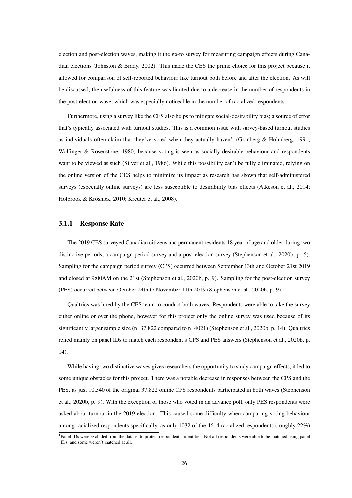election and post-election waves, making it the go-to survey for measuring campaign effects during Canadian elections (Johnston & Brady, 2002). This made the CES the prime choice for this project because it allowed for comparison of self-reported behaviour like turnout both before and after the election. As will be discussed, the usefulness of this feature was limited due to a decrease in the number of respondents in the post-election wave, which was especially noticeable in the number of racialized respondents.

Furthermore, using a survey like the CES also helps to mitigate social-desirability bias; a source of error that's typically associated with turnout studies. This is a common issue with survey-based turnout studies as individuals often claim that they've voted when they actually haven't (Granberg & Holmberg, 1991; Wolfinger & Rosenstone, 1980) because voting is seen as socially desirable behaviour and respondents want to be viewed as such (Silver et al., 1986). While this possibility can't be fully eliminated, relying on the online version of the CES helps to minimize its impact as research has shown that self-administered surveys (especially online surveys) are less susceptible to desirability bias effects (Atkeson et al., 2014; Holbrook & Krosnick, 2010; Kreuter et al., 2008).

#### <span id="page-24-0"></span>3.1.1 Response Rate

The 2019 CES surveyed Canadian citizens and permanent residents 18 year of age and older during two distinctive periods; a campaign period survey and a post-election survey (Stephenson et al., 2020b, p. 5). Sampling for the campaign period survey (CPS) occurred between September 13th and October 21st 2019 and closed at 9:00AM on the 21st (Stephenson et al., 2020b, p. 9). Sampling for the post-election survey (PES) occurred between October 24th to November 11th 2019 (Stephenson et al., 2020b, p. 9).

Qualtrics was hired by the CES team to conduct both waves. Respondents were able to take the survey either online or over the phone, however for this project only the online survey was used because of its significantly larger sample size (n=37,822 compared to n=4021) (Stephenson et al., 2020b, p. 14). Qualtrics relied mainly on panel IDs to match each respondent's CPS and PES answers (Stephenson et al., 2020b, p.  $14$  $14$ ).<sup>1</sup>

While having two distinctive waves gives researchers the opportunity to study campaign effects, it led to some unique obstacles for this project. There was a notable decrease in responses between the CPS and the PES, as just 10,340 of the original 37,822 online CPS respondents participated in both waves (Stephenson et al., 2020b, p. 9). With the exception of those who voted in an advance poll, only PES respondents were asked about turnout in the 2019 election. This caused some difficulty when comparing voting behaviour among racialized respondents specifically, as only 1032 of the 4614 racialized respondents (roughly 22%)

<sup>&</sup>lt;sup>1</sup>Panel IDs were excluded from the dataset to protect respondents' identities. Not all respondents were able to be matched using panel IDs, and some weren't matched at all.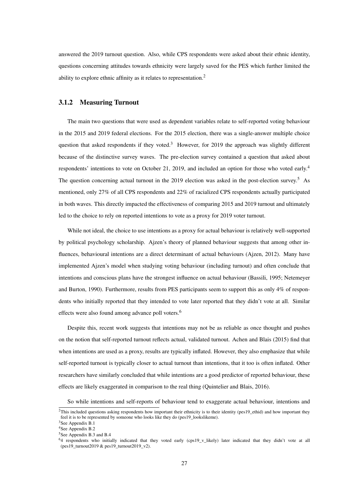answered the 2019 turnout question. Also, while CPS respondents were asked about their ethnic identity, questions concerning attitudes towards ethnicity were largely saved for the PES which further limited the ability to explore ethnic affinity as it relates to representation.<sup>[2](#page-0-0)</sup>

#### <span id="page-25-0"></span>3.1.2 Measuring Turnout

The main two questions that were used as dependent variables relate to self-reported voting behaviour in the 2015 and 2019 federal elections. For the 2015 election, there was a single-answer multiple choice question that asked respondents if they voted.<sup>[3](#page-0-0)</sup> However, for 2019 the approach was slightly different because of the distinctive survey waves. The pre-election survey contained a question that asked about respondents' intentions to vote on October 21, 2019, and included an option for those who voted early.[4](#page-0-0) The question concerning actual turnout in the 2019 election was asked in the post-election survey.<sup>[5](#page-0-0)</sup> As mentioned, only 27% of all CPS respondents and 22% of racialized CPS respondents actually participated in both waves. This directly impacted the effectiveness of comparing 2015 and 2019 turnout and ultimately led to the choice to rely on reported intentions to vote as a proxy for 2019 voter turnout.

While not ideal, the choice to use intentions as a proxy for actual behaviour is relatively well-supported by political psychology scholarship. Ajzen's theory of planned behaviour suggests that among other influences, behavioural intentions are a direct determinant of actual behaviours (Ajzen, 2012). Many have implemented Ajzen's model when studying voting behaviour (including turnout) and often conclude that intentions and conscious plans have the strongest influence on actual behaviour (Bassili, 1995; Netemeyer and Burton, 1990). Furthermore, results from PES participants seem to support this as only 4% of respondents who initially reported that they intended to vote later reported that they didn't vote at all. Similar effects were also found among advance poll voters.<sup>[6](#page-0-0)</sup>

Despite this, recent work suggests that intentions may not be as reliable as once thought and pushes on the notion that self-reported turnout reflects actual, validated turnout. Achen and Blais (2015) find that when intentions are used as a proxy, results are typically inflated. However, they also emphasize that while self-reported turnout is typically closer to actual turnout than intentions, that it too is often inflated. Other researchers have similarly concluded that while intentions are a good predictor of reported behaviour, these effects are likely exaggerated in comparison to the real thing (Quintelier and Blais, 2016).

So while intentions and self-reports of behaviour tend to exaggerate actual behaviour, intentions and

<sup>&</sup>lt;sup>2</sup>This included questions asking respondents how important their ethnicity is to their identity (pes19\_ethid) and how important they feel it is to be represented by someone who looks like they do (pes19\_lookslikeme).

<sup>&</sup>lt;sup>3</sup>See Appendix B.1 <sup>4</sup>See Appendix B.2

<sup>5</sup>See Appendix B.3 and B.4

<sup>&</sup>lt;sup>64</sup> respondents who initially indicated that they voted early (cps19\_v\_likely) later indicated that they didn't vote at all (pes19\_turnout2019 & pes19\_turnout2019\_v2).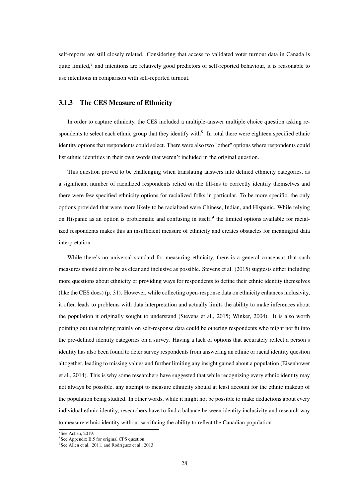self-reports are still closely related. Considering that access to validated voter turnout data in Canada is quite limited,<sup>[7](#page-0-0)</sup> and intentions are relatively good predictors of self-reported behaviour, it is reasonable to use intentions in comparison with self-reported turnout.

#### <span id="page-26-0"></span>3.1.3 The CES Measure of Ethnicity

In order to capture ethnicity, the CES included a multiple-answer multiple choice question asking respondents to select each ethnic group that they identify with $8$ . In total there were eighteen specified ethnic identity options that respondents could select. There were also two "other" options where respondents could list ethnic identities in their own words that weren't included in the original question.

This question proved to be challenging when translating answers into defined ethnicity categories, as a significant number of racialized respondents relied on the fill-ins to correctly identify themselves and there were few specified ethnicity options for racialized folks in particular. To be more specific, the only options provided that were more likely to be racialized were Chinese, Indian, and Hispanic. While relying on Hispanic as an option is problematic and confusing in itself,<sup>[9](#page-0-0)</sup> the limited options available for racialized respondents makes this an insufficient measure of ethnicity and creates obstacles for meaningful data interpretation.

While there's no universal standard for measuring ethnicity, there is a general consensus that such measures should aim to be as clear and inclusive as possible. Stevens et al. (2015) suggests either including more questions about ethnicity or providing ways for respondents to define their ethnic identity themselves (like the CES does) (p. 31). However, while collecting open-response data on ethnicity enhances inclusivity, it often leads to problems with data interpretation and actually limits the ability to make inferences about the population it originally sought to understand (Stevens et al., 2015; Winker, 2004). It is also worth pointing out that relying mainly on self-response data could be othering respondents who might not fit into the pre-defined identity categories on a survey. Having a lack of options that accurately reflect a person's identity has also been found to deter survey respondents from answering an ethnic or racial identity question altogether, leading to missing values and further limiting any insight gained about a population (Eisenhower et al., 2014). This is why some researchers have suggested that while recognizing every ethnic identity may not always be possible, any attempt to measure ethnicity should at least account for the ethnic makeup of the population being studied. In other words, while it might not be possible to make deductions about every individual ethnic identity, researchers have to find a balance between identity inclusivity and research way to measure ethnic identity without sacrificing the ability to reflect the Canadian population.

<sup>7</sup>See Achen, 2019.

<sup>8</sup>See Appendix B.5 for original CPS question.

<sup>&</sup>lt;sup>9</sup>See Allen et al., 2011, and Rodríguez et al., 2013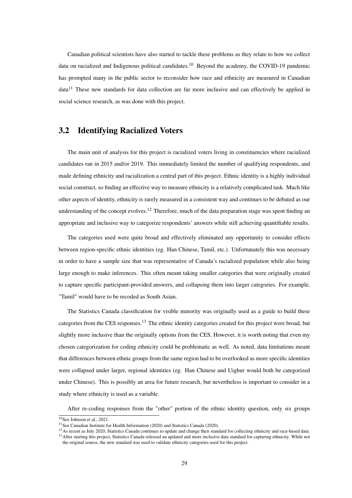Canadian political scientists have also started to tackle these problems as they relate to how we collect data on racialized and Indigenous political candidates.<sup>[10](#page-0-0)</sup> Beyond the academy, the COVID-19 pandemic has prompted many in the public sector to reconsider how race and ethnicity are measured in Canadian  $data<sup>11</sup>$  $data<sup>11</sup>$  $data<sup>11</sup>$  These new standards for data collection are far more inclusive and can effectively be applied in social science research, as was done with this project.

#### <span id="page-27-0"></span>3.2 Identifying Racialized Voters

The main unit of analysis for this project is racialized voters living in constituencies where racialized candidates ran in 2015 and/or 2019. This immediately limited the number of qualifying respondents, and made defining ethnicity and racialization a central part of this project. Ethnic identity is a highly individual social construct, so finding an effective way to measure ethnicity is a relatively complicated task. Much like other aspects of identity, ethnicity is rarely measured in a consistent way and continues to be debated as our understanding of the concept evolves.<sup>[12](#page-0-0)</sup> Therefore, much of the data preparation stage was spent finding an appropriate and inclusive way to categorize respondents' answers while still achieving quantifiable results.

The categories used were quite broad and effectively eliminated any opportunity to consider effects between region-specific ethnic identities (eg. Han Chinese, Tamil, etc.). Unfortunately this was necessary in order to have a sample size that was representative of Canada's racialized population while also being large enough to make inferences. This often meant taking smaller categories that were originally created to capture specific participant-provided answers, and collapsing them into larger categories. For example, "Tamil" would have to be recoded as South Asian.

The Statistics Canada classification for visible minority was originally used as a guide to build these categories from the CES responses.[13](#page-0-0) The ethnic identity categories created for this project were broad, but slightly more inclusive than the originally options from the CES. However, it is worth noting that even my chosen categorization for coding ethnicity could be problematic as well. As noted, data limitations meant that differences between ethnic groups from the same region had to be overlooked as more specific identities were collapsed under larger, regional identities (eg. Han Chinese and Uighur would both be categorized under Chinese). This is possibly an area for future research, but nevertheless is important to consider in a study where ethnicity is used as a variable.

After re-coding responses from the "other" portion of the ethnic identity question, only six groups

<sup>&</sup>lt;sup>10</sup>See Johnson et al., 2021.

<sup>&</sup>lt;sup>11</sup> See Canadian Institute for Health Information (2020) and Statistics Canada (2020).

<sup>&</sup>lt;sup>12</sup>As recent as July 2020, Statistics Canada continues to update and change their standard for collecting ethnicity and race-based data. <sup>13</sup> After starting this project, Statistics Canada released an updated and more inclusive data standard for capturing ethnicity. While not

the original source, the new standard was used to validate ethnicity categories used for this project.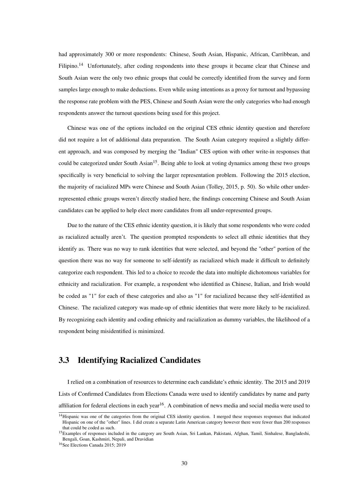had approximately 300 or more respondents: Chinese, South Asian, Hispanic, African, Carribbean, and Filipino.<sup>[14](#page-0-0)</sup> Unfortunately, after coding respondents into these groups it became clear that Chinese and South Asian were the only two ethnic groups that could be correctly identified from the survey and form samples large enough to make deductions. Even while using intentions as a proxy for turnout and bypassing the response rate problem with the PES, Chinese and South Asian were the only categories who had enough respondents answer the turnout questions being used for this project.

Chinese was one of the options included on the original CES ethnic identity question and therefore did not require a lot of additional data preparation. The South Asian category required a slightly different approach, and was composed by merging the "Indian" CES option with other write-in responses that could be categorized under South Asian<sup>[15](#page-0-0)</sup>. Being able to look at voting dynamics among these two groups specifically is very beneficial to solving the larger representation problem. Following the 2015 election, the majority of racialized MPs were Chinese and South Asian (Tolley, 2015, p. 50). So while other underrepresented ethnic groups weren't directly studied here, the findings concerning Chinese and South Asian candidates can be applied to help elect more candidates from all under-represented groups.

Due to the nature of the CES ethnic identity question, it is likely that some respondents who were coded as racialized actually aren't. The question prompted respondents to select all ethnic identities that they identify as. There was no way to rank identities that were selected, and beyond the "other" portion of the question there was no way for someone to self-identify as racialized which made it difficult to definitely categorize each respondent. This led to a choice to recode the data into multiple dichotomous variables for ethnicity and racialization. For example, a respondent who identified as Chinese, Italian, and Irish would be coded as "1" for each of these categories and also as "1" for racialized because they self-identified as Chinese. The racialized category was made-up of ethnic identities that were more likely to be racialized. By recognizing each identity and coding ethnicity and racialization as dummy variables, the likelihood of a respondent being misidentified is minimized.

#### <span id="page-28-0"></span>3.3 Identifying Racialized Candidates

I relied on a combination of resources to determine each candidate's ethnic identity. The 2015 and 2019 Lists of Confirmed Candidates from Elections Canada were used to identify candidates by name and party affiliation for federal elections in each year<sup>[16](#page-0-0)</sup>. A combination of news media and social media were used to

<sup>&</sup>lt;sup>14</sup>Hispanic was one of the categories from the original CES identity question. I merged these responses responses that indicated Hispanic on one of the "other" lines. I did create a separate Latin American category however there were fewer than 200 responses that could be coded as such.

<sup>&</sup>lt;sup>15</sup>Examples of responses included in the category are South Asian, Sri Lankan, Pakistani, Afghan, Tamil, Sinhalese, Bangladeshi, Bengali, Goan, Kashmiri, Nepali, and Dravidian

<sup>16</sup>See Elections Canada 2015; 2019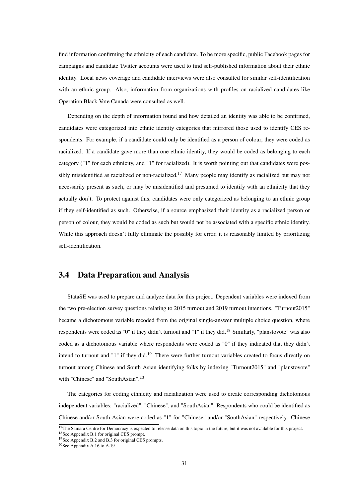find information confirming the ethnicity of each candidate. To be more specific, public Facebook pages for campaigns and candidate Twitter accounts were used to find self-published information about their ethnic identity. Local news coverage and candidate interviews were also consulted for similar self-identification with an ethnic group. Also, information from organizations with profiles on racialized candidates like Operation Black Vote Canada were consulted as well.

Depending on the depth of information found and how detailed an identity was able to be confirmed, candidates were categorized into ethnic identity categories that mirrored those used to identify CES respondents. For example, if a candidate could only be identified as a person of colour, they were coded as racialized. If a candidate gave more than one ethnic identity, they would be coded as belonging to each category ("1" for each ethnicity, and "1" for racialized). It is worth pointing out that candidates were pos-sibly misidentified as racialized or non-racialized.<sup>[17](#page-0-0)</sup> Many people may identify as racialized but may not necessarily present as such, or may be misidentified and presumed to identify with an ethnicity that they actually don't. To protect against this, candidates were only categorized as belonging to an ethnic group if they self-identified as such. Otherwise, if a source emphasized their identity as a racialized person or person of colour, they would be coded as such but would not be associated with a specific ethnic identity. While this approach doesn't fully eliminate the possibly for error, it is reasonably limited by prioritizing self-identification.

#### <span id="page-29-0"></span>3.4 Data Preparation and Analysis

StataSE was used to prepare and analyze data for this project. Dependent variables were indexed from the two pre-election survey questions relating to 2015 turnout and 2019 turnout intentions. "Turnout2015" became a dichotomous variable recoded from the original single-answer multiple choice question, where respondents were coded as "0" if they didn't turnout and "1" if they did.[18](#page-0-0) Similarly, "planstovote" was also coded as a dichotomous variable where respondents were coded as "0" if they indicated that they didn't intend to turnout and "1" if they did.<sup>[19](#page-0-0)</sup> There were further turnout variables created to focus directly on turnout among Chinese and South Asian identifying folks by indexing "Turnout2015" and "planstovote" with "Chinese" and "SouthAsian".[20](#page-0-0)

The categories for coding ethnicity and racialization were used to create corresponding dichotomous independent variables: "racialized", "Chinese", and "SouthAsian". Respondents who could be identified as Chinese and/or South Asian were coded as "1" for "Chinese" and/or "SouthAsian" respectively. Chinese

 $17$ The Samara Centre for Democracy is expected to release data on this topic in the future, but it was not available for this project. <sup>18</sup>See Appendix B.1 for original CES prompt.

<sup>19</sup>See Appendix B.2 and B.3 for original CES prompts.

<sup>20</sup>See Appendix A.16 to A.19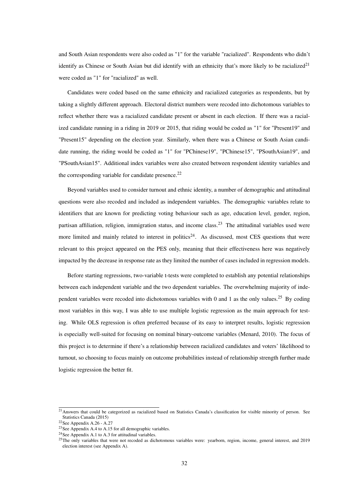and South Asian respondents were also coded as "1" for the variable "racialized". Respondents who didn't identify as Chinese or South Asian but did identify with an ethnicity that's more likely to be racialized<sup>[21](#page-0-0)</sup> were coded as "1" for "racialized" as well.

Candidates were coded based on the same ethnicity and racialized categories as respondents, but by taking a slightly different approach. Electoral district numbers were recoded into dichotomous variables to reflect whether there was a racialized candidate present or absent in each election. If there was a racialized candidate running in a riding in 2019 or 2015, that riding would be coded as "1" for "Present19" and "Present15" depending on the election year. Similarly, when there was a Chinese or South Asian candidate running, the riding would be coded as "1" for "PChinese19", "PChinese15", "PSouthAsian19", and "PSouthAsian15". Additional index variables were also created between respondent identity variables and the corresponding variable for candidate presence.<sup>[22](#page-0-0)</sup>

Beyond variables used to consider turnout and ethnic identity, a number of demographic and attitudinal questions were also recoded and included as independent variables. The demographic variables relate to identifiers that are known for predicting voting behaviour such as age, education level, gender, region, partisan affiliation, religion, immigration status, and income class.<sup>[23](#page-0-0)</sup> The attitudinal variables used were more limited and mainly related to interest in politics<sup>[24](#page-0-0)</sup>. As discussed, most CES questions that were relevant to this project appeared on the PES only, meaning that their effectiveness here was negatively impacted by the decrease in response rate as they limited the number of cases included in regression models.

Before starting regressions, two-variable t-tests were completed to establish any potential relationships between each independent variable and the two dependent variables. The overwhelming majority of inde-pendent variables were recoded into dichotomous variables with 0 and 1 as the only values.<sup>[25](#page-0-0)</sup> By coding most variables in this way, I was able to use multiple logistic regression as the main approach for testing. While OLS regression is often preferred because of its easy to interpret results, logistic regression is especially well-suited for focusing on nominal binary-outcome variables (Menard, 2010). The focus of this project is to determine if there's a relationship between racialized candidates and voters' likelihood to turnout, so choosing to focus mainly on outcome probabilities instead of relationship strength further made logistic regression the better fit.

 $21$ Answers that could be categorized as racialized based on Statistics Canada's classification for visible minority of person. See Statistics Canada (2015)

 $22$ See Appendix A.26 - A.27

<sup>&</sup>lt;sup>23</sup>See Appendix A.4 to A.15 for all demographic variables.

<sup>&</sup>lt;sup>24</sup>See Appendix A.1 to A.3 for attitudinal variables.

<sup>&</sup>lt;sup>25</sup>The only variables that were not recoded as dichotomous variables were: yearborn, region, income, general interest, and 2019 election interest (see Appendix A).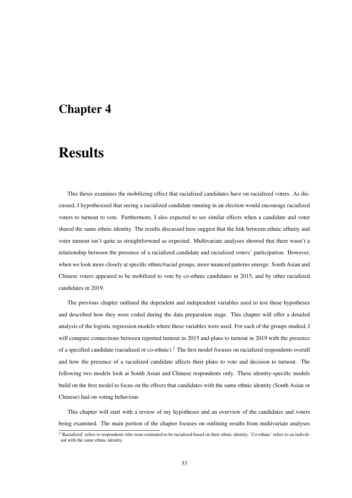### <span id="page-31-0"></span>Chapter 4

### **Results**

This thesis examines the mobilizing effect that racialized candidates have on racialized voters. As discussed, I hypothesized that seeing a racialized candidate running in an election would encourage racialized voters to turnout to vote. Furthermore, I also expected to see similar effects when a candidate and voter shared the same ethnic identity. The results discussed here suggest that the link between ethnic affinity and voter turnout isn't quite as straightforward as expected. Multivariate analyses showed that there wasn't a relationship between the presence of a racialized candidate and racialized voters' participation. However, when we look more closely at specific ethnic/racial groups, more nuanced patterns emerge. South Asian and Chinese voters appeared to be mobilized to vote by co-ethnic candidates in 2015, and by other racialized candidates in 2019.

The previous chapter outlined the dependent and independent variables used to test these hypotheses and described how they were coded during the data preparation stage. This chapter will offer a detailed analysis of the logistic regression models where these variables were used. For each of the groups studied, I will compare connections between reported turnout in 2015 and plans to turnout in 2019 with the presence of a specified candidate (racialized or co-ethnic).[1](#page-0-0) The first model focuses on racialized respondents overall and how the presence of a racialized candidate affects their plans to vote and decision to turnout. The following two models look at South Asian and Chinese respondents only. These identity-specific models build on the first model to focus on the effects that candidates with the same ethnic identity (South Asian or Chinese) had on voting behaviour.

This chapter will start with a review of my hypotheses and an overview of the candidates and voters being examined. The main portion of the chapter focuses on outlining results from multivariate analyses

<sup>&</sup>lt;sup>1</sup>'Racialized' refers to respondents who were estimated to be racialized based on their ethnic identity. 'Co-ethnic' refers to an individual with the same ethnic identity.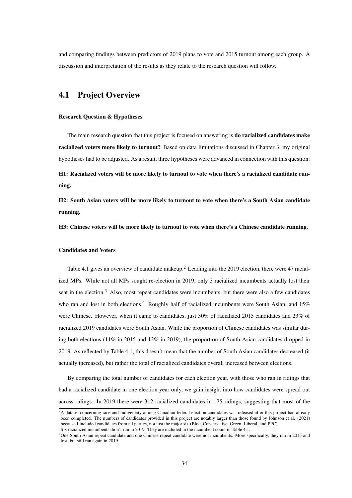and comparing findings between predictors of 2019 plans to vote and 2015 turnout among each group. A discussion and interpretation of the results as they relate to the research question will follow.

#### <span id="page-32-0"></span>4.1 Project Overview

#### Research Question & Hypotheses

The main research question that this project is focused on answering is **do racialized candidates make** racialized voters more likely to turnout? Based on data limitations discussed in Chapter 3, my original hypotheses had to be adjusted. As a result, three hypotheses were advanced in connection with this question:

H1: Racialized voters will be more likely to turnout to vote when there's a racialized candidate running.

H2: South Asian voters will be more likely to turnout to vote when there's a South Asian candidate running.

H3: Chinese voters will be more likely to turnout to vote when there's a Chinese candidate running.

#### Candidates and Voters

Table 4.1 gives an overview of candidate makeup.<sup>[2](#page-0-0)</sup> Leading into the 2019 election, there were 47 racialized MPs. While not all MPs sought re-election in 2019, only 3 racialized incumbents actually lost their seat in the election.<sup>[3](#page-0-0)</sup> Also, most repeat candidates were incumbents, but there were also a few candidates who ran and lost in both elections.<sup>[4](#page-0-0)</sup> Roughly half of racialized incumbents were South Asian, and 15% were Chinese. However, when it came to candidates, just 30% of racialized 2015 candidates and 23% of racialized 2019 candidates were South Asian. While the proportion of Chinese candidates was similar during both elections (11% in 2015 and 12% in 2019), the proportion of South Asian candidates dropped in 2019. As reflected by Table 4.1, this doesn't mean that the number of South Asian candidates decreased (it actually increased), but rather the total of racialized candidates overall increased between elections.

By comparing the total number of candidates for each election year, with those who ran in ridings that had a racialized candidate in one election year only, we gain insight into how candidates were spread out across ridings. In 2019 there were 312 racialized candidates in 175 ridings, suggesting that most of the

<sup>&</sup>lt;sup>2</sup>A dataset concerning race and Indigeneity among Canadian federal election candidates was released after this project had already been completed. The numbers of candidates provided in this project are notably larger than those found by Johnson et al. (2021) because I included candidates from all parties, not just the major six (Bloc, Conservative, Green, Liberal, and PPC). <sup>3</sup>Six racialized incumbents didn't run in 2019. They are included in the incumbent count in Table 4.1.

<sup>4</sup>One South Asian repeat candidate and one Chinese repeat candidate were not incumbents. More specifically, they ran in 2015 and lost, but still ran again in 2019.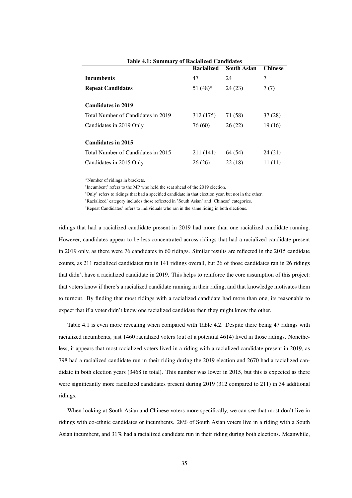| Table 4.1: Summary of Kacialized Candidates |                   |                    |                |  |
|---------------------------------------------|-------------------|--------------------|----------------|--|
|                                             | <b>Racialized</b> | <b>South Asian</b> | <b>Chinese</b> |  |
| <b>Incumbents</b>                           | 47                | 24                 | 7              |  |
| <b>Repeat Candidates</b>                    | $51(48)$ *        | 24(23)             | 7(7)           |  |
|                                             |                   |                    |                |  |
| <b>Candidates in 2019</b>                   |                   |                    |                |  |
| Total Number of Candidates in 2019          | 312 (175)         | 71 (58)            | 37 (28)        |  |
| Candidates in 2019 Only                     | 76 (60)           | 26(22)             | 19(16)         |  |
|                                             |                   |                    |                |  |
| <b>Candidates in 2015</b>                   |                   |                    |                |  |
| Total Number of Candidates in 2015          | 211 (141)         | 64 (54)            | 24 (21)        |  |
| Candidates in 2015 Only                     | 26 (26)           | 22(18)             | 11(11)         |  |

<span id="page-33-0"></span>acialized Candidat

\*Number of ridings in brackets.

'Incumbent' refers to the MP who held the seat ahead of the 2019 election.

'Only' refers to ridings that had a specified candidate in that election year, but not in the other.

'Racialized' category includes those reflected in 'South Asian' and 'Chinese' categories.

'Repeat Candidates' refers to individuals who ran in the same riding in both elections.

ridings that had a racialized candidate present in 2019 had more than one racialized candidate running. However, candidates appear to be less concentrated across ridings that had a racialized candidate present in 2019 only, as there were 76 candidates in 60 ridings. Similar results are reflected in the 2015 candidate counts, as 211 racialized candidates ran in 141 ridings overall, but 26 of those candidates ran in 26 ridings that didn't have a racialized candidate in 2019. This helps to reinforce the core assumption of this project: that voters know if there's a racialized candidate running in their riding, and that knowledge motivates them to turnout. By finding that most ridings with a racialized candidate had more than one, its reasonable to expect that if a voter didn't know one racialized candidate then they might know the other.

Table 4.1 is even more revealing when compared with Table 4.2. Despite there being 47 ridings with racialized incumbents, just 1460 racialized voters (out of a potential 4614) lived in those ridings. Nonetheless, it appears that most racialized voters lived in a riding with a racialized candidate present in 2019, as 798 had a racialized candidate run in their riding during the 2019 election and 2670 had a racialized candidate in both election years (3468 in total). This number was lower in 2015, but this is expected as there were significantly more racialized candidates present during 2019 (312 compared to 211) in 34 additional ridings.

When looking at South Asian and Chinese voters more specifically, we can see that most don't live in ridings with co-ethnic candidates or incumbents. 28% of South Asian voters live in a riding with a South Asian incumbent, and 31% had a racialized candidate run in their riding during both elections. Meanwhile,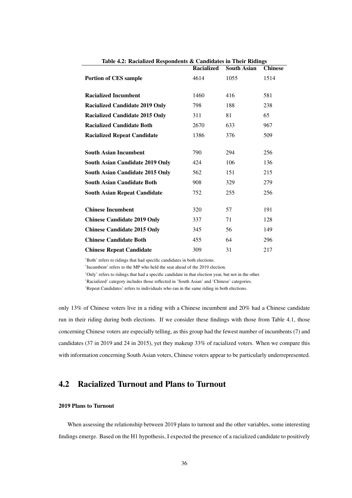|                                        | Racialized | <b>South Asian</b> | <b>Chinese</b> |
|----------------------------------------|------------|--------------------|----------------|
| <b>Portion of CES sample</b>           | 4614       | 1055               | 1514           |
|                                        |            |                    |                |
| <b>Racialized Incumbent</b>            | 1460       | 416                | 581            |
| <b>Racialized Candidate 2019 Only</b>  | 798        | 188                | 238            |
| <b>Racialized Candidate 2015 Only</b>  | 311        | 81                 | 65             |
| <b>Racialized Candidate Both</b>       | 2670       | 633                | 967            |
| <b>Racialized Repeat Candidate</b>     | 1386       | 376                | 509            |
|                                        |            |                    |                |
| <b>South Asian Incumbent</b>           | 790        | 294                | 256            |
| South Asian Candidate 2019 Only        | 424        | 106                | 136            |
| <b>South Asian Candidate 2015 Only</b> | 562        | 151                | 215            |
| <b>South Asian Candidate Both</b>      | 908        | 329                | 279            |
| <b>South Asian Repeat Candidate</b>    | 752        | 255                | 256            |
|                                        |            |                    |                |
| <b>Chinese Incumbent</b>               | 320        | 57                 | 191            |
| <b>Chinese Candidate 2019 Only</b>     | 337        | 71                 | 128            |
| <b>Chinese Candidate 2015 Only</b>     | 345        | 56                 | 149            |
| <b>Chinese Candidate Both</b>          | 455        | 64                 | 296            |
| <b>Chinese Repeat Candidate</b>        | 309        | 31                 | 217            |

<span id="page-34-1"></span>Table 4.2: Racialized Respondents & Candidates in Their Ridings

'Both' refers to ridings that had specific candidates in both elections.

'Incumbent' refers to the MP who held the seat ahead of the 2019 election.

'Only' refers to ridings that had a specific candidate in that election year, but not in the other.

'Racialized' category includes those reflected in 'South Asian' and 'Chinese' categories.

'Repeat Candidates' refers to individuals who ran in the same riding in both elections.

only 13% of Chinese voters live in a riding with a Chinese incumbent and 20% had a Chinese candidate run in their riding during both elections. If we consider these findings with those from Table 4.1, those concerning Chinese voters are especially telling, as this group had the fewest number of incumbents (7) and candidates (37 in 2019 and 24 in 2015), yet they makeup 33% of racialized voters. When we compare this with information concerning South Asian voters, Chinese voters appear to be particularly underrepresented.

#### <span id="page-34-0"></span>4.2 Racialized Turnout and Plans to Turnout

#### 2019 Plans to Turnout

When assessing the relationship between 2019 plans to turnout and the other variables, some interesting findings emerge. Based on the H1 hypothesis, I expected the presence of a racialized candidate to positively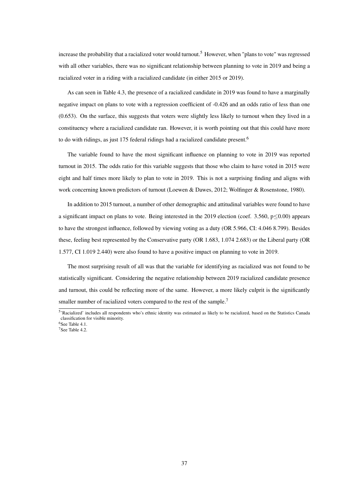increase the probability that a racialized voter would turnout.<sup>[5](#page-0-0)</sup> However, when "plans to vote" was regressed with all other variables, there was no significant relationship between planning to vote in 2019 and being a racialized voter in a riding with a racialized candidate (in either 2015 or 2019).

As can seen in Table 4.3, the presence of a racialized candidate in 2019 was found to have a marginally negative impact on plans to vote with a regression coefficient of -0.426 and an odds ratio of less than one (0.653). On the surface, this suggests that voters were slightly less likely to turnout when they lived in a constituency where a racialized candidate ran. However, it is worth pointing out that this could have more to do with ridings, as just 175 federal ridings had a racialized candidate present.<sup>[6](#page-0-0)</sup>

The variable found to have the most significant influence on planning to vote in 2019 was reported turnout in 2015. The odds ratio for this variable suggests that those who claim to have voted in 2015 were eight and half times more likely to plan to vote in 2019. This is not a surprising finding and aligns with work concerning known predictors of turnout (Loewen & Dawes, 2012; Wolfinger & Rosenstone, 1980).

In addition to 2015 turnout, a number of other demographic and attitudinal variables were found to have a significant impact on plans to vote. Being interested in the 2019 election (coef. 3.560,  $p \le 0.00$ ) appears to have the strongest influence, followed by viewing voting as a duty (OR 5.966, CI: 4.046 8.799). Besides these, feeling best represented by the Conservative party (OR 1.683, 1.074 2.683) or the Liberal party (OR 1.577, CI 1.019 2.440) were also found to have a positive impact on planning to vote in 2019.

The most surprising result of all was that the variable for identifying as racialized was not found to be statistically significant. Considering the negative relationship between 2019 racialized candidate presence and turnout, this could be reflecting more of the same. However, a more likely culprit is the significantly smaller number of racialized voters compared to the rest of the sample.<sup>[7](#page-0-0)</sup>

<sup>&</sup>lt;sup>5</sup>'Racialized' includes all respondents who's ethnic identity was estimated as likely to be racialized, based on the Statistics Canada classification for visible minority.

<sup>6</sup>See Table 4.1.

<sup>7</sup>See Table 4.2.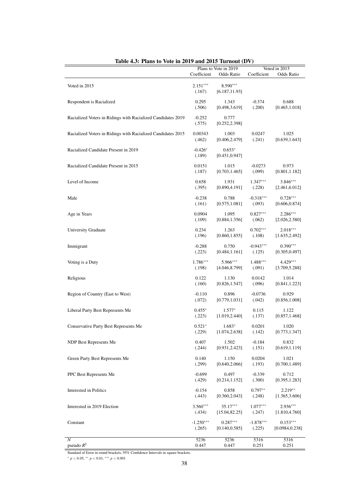| Lable $\pm 0.$ . I fails to vote in 2017 and 2013 Turnout (D $\gamma$ ) | Coefficient          | Plans to Vote in 2019<br>Odds Ratio | Coefficient | Voted in 2015<br>Odds Ratio |
|-------------------------------------------------------------------------|----------------------|-------------------------------------|-------------|-----------------------------|
| Voted in 2015                                                           | $2.151***$<br>(.167) | 8.590***<br>[6.187, 11.93]          |             |                             |
| Respondent is Racialized                                                | 0.295                | 1.343                               | $-0.374$    | 0.688                       |
|                                                                         | (.506)               | [0.498, 3.619]                      | (.200)      | [0.465, 1.018]              |
| Racialized Voters in Ridings with Racialized Candidates 2019            | $-0.252$<br>(.575)   | 0.777<br>[0.252, 2.398]             |             |                             |
| Racialized Voters in Ridings with Racialized Candidates 2015            | 0.00343              | 1.003                               | 0.0247      | 1.025                       |
|                                                                         | (.462)               | [0.406, 2.479]                      | (.241)      | [0.639, 1.643]              |
| Racialized Candidate Present in 2019                                    | $-0.426*$<br>(.189)  | $0.653*$<br>[0.451, 0.947]          |             |                             |
| Racialized Candidate Present in 2015                                    | 0.0151               | 1.015                               | $-0.0273$   | 0.973                       |
|                                                                         | (.187)               | [0.703, 1.465]                      | (.099)      | [0.801, 1.182]              |
| Level of Income                                                         | 0.658                | 1.931                               | $1.347***$  | $3.846***$                  |
|                                                                         | (.395)               | [0.890, 4.191]                      | (.228)      | [2.461, 6.012]              |
| Male                                                                    | $-0.238$             | 0.788                               | $-0.318***$ | $0.728***$                  |
|                                                                         | (.161)               | [0.575, 1.081]                      | (.093)      | [0.606, 0.874]              |
| Age in Years                                                            | 0.0904               | 1.095                               | $0.827***$  | $2.286***$                  |
|                                                                         | (.109)               | [0.884, 1.356]                      | (.062)      | [2.026, 2.580]              |
| <b>University Graduate</b>                                              | 0.234                | 1.263                               | $0.702***$  | $2.018***$                  |
|                                                                         | (.196)               | [0.860, 1.855]                      | (.108)      | [1.635, 2.492]              |
| Immigrant                                                               | $-0.288$             | 0.750                               | $-0.943***$ | $0.390***$                  |
|                                                                         | (.223)               | [0.484, 1.161]                      | (.125)      | [0.305, 0.497]              |
| Voting is a Duty                                                        | 1.786***             | 5.966***                            | 1.488***    | $4.429***$                  |
|                                                                         | (.198)               | [4.046, 8.799]                      | (.091)      | [3.709, 5.288]              |
| Religious                                                               | 0.122                | 1.130                               | 0.0142      | 1.014                       |
|                                                                         | (.160)               | [0.826, 1.547]                      | (.096)      | [0.841, 1.223]              |
| Region of Country (East to West)                                        | $-0.110$             | 0.896                               | $-0.0736$   | 0.929                       |
|                                                                         | (.072)               | [0.779, 1.031]                      | (.042)      | [0.856, 1.008]              |
| Liberal Party Best Represents Me                                        | $0.455*$             | $1.577*$                            | 0.115       | 1.122                       |
|                                                                         | (.223)               | [1.019, 2.440]                      | (.137)      | [0.857, 1.468]              |
| Conservative Party Best Represents Me                                   | $0.521*$             | $1.683*$                            | 0.0201      | 1.020                       |
|                                                                         | (.229)               | [1.074, 2.638]                      | (.142)      | [0.773, 1.347]              |
| NDP Best Represents Me                                                  | 0.407                | 1.502                               | $-0.184$    | 0.832                       |
|                                                                         | (.244)               | [0.931, 2.423]                      | (.151)      | [0.619, 1.119]              |
| Green Party Best Represents Me                                          | 0.140                | 1.150                               | 0.0204      | 1.021                       |
|                                                                         | (.299)               | [0.640, 2.066]                      | (.193)      | [0.700, 1.489]              |
| PPC Best Represents Me                                                  | $-0.699$             | 0.497                               | $-0.339$    | 0.712                       |
|                                                                         | (.429)               | [0.214, 1.152]                      | (.300)      | [0.395, 1.283]              |
| Interested in Politics                                                  | $-0.154$             | 0.858                               | $0.797**$   | $2.219**$                   |
|                                                                         | (.443)               | [0.360, 2.043]                      | (.248)      | [1.365, 3.606]              |
| Interested in 2019 Election                                             | $3.560***$           | $35.17***$                          | $1.077***$  | $2.936***$                  |
|                                                                         | (.434)               | [15.04, 82.25]                      | (.247)      | [1.810, 4.760]              |
| Constant                                                                | $-1.250***$          | $0.287***$                          | $-1.878***$ | $0.153***$                  |
|                                                                         | (.265)               | [0.140, 0.585]                      | (.225)      | [0.0984, 0.238]             |
| $\boldsymbol{N}$                                                        | 5236                 | 5236                                | 5316        | 5316                        |
| pseudo $R^2$                                                            | 0.447                | 0.447                               | 0.251       | 0.251                       |

| Table 4.3: Plans to Vote in 2019 and 2015 Turnout (DV) |  |  |  |
|--------------------------------------------------------|--|--|--|
|--------------------------------------------------------|--|--|--|

Standard of Error in round brackets, 95% Confidence Intervals in square brackets.

<sup>∗</sup> *p* < 0.05, ∗∗ *p* < 0.01, ∗∗∗ *p* < 0.001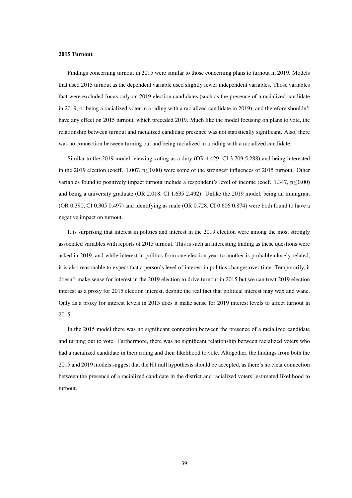### 2015 Turnout

Findings concerning turnout in 2015 were similar to those concerning plans to turnout in 2019. Models that used 2015 turnout as the dependent variable used slightly fewer independent variables. Those variables that were excluded focus only on 2019 election candidates (such as the presence of a racialized candidate in 2019, or being a racialized voter in a riding with a racialized candidate in 2019), and therefore shouldn't have any effect on 2015 turnout, which preceded 2019. Much like the model focusing on plans to vote, the relationship between turnout and racialized candidate presence was not statistically significant. Also, there was no connection between turning out and being racialized in a riding with a racialized candidate.

Similar to the 2019 model, viewing voting as a duty (OR 4.429, CI 3.709 5.288) and being interested in the 2019 election (coeff. 1.007,  $p \le 0.00$ ) were some of the strongest influences of 2015 turnout. Other variables found to positively impact turnout include a respondent's level of income (coef. 1.347,  $p \le 0.00$ ) and being a university graduate (OR 2.018, CI 1.635 2.492). Unlike the 2019 model, being an immigrant (OR 0.390, CI 0.305 0.497) and identifying as male (OR 0.728, CI 0.606 0.874) were both found to have a negative impact on turnout.

It is surprising that interest in politics and interest in the 2019 election were among the most strongly associated variables with reports of 2015 turnout. This is such an interesting finding as these questions were asked in 2019, and while interest in politics from one election year to another is probably closely related, it is also reasonable to expect that a person's level of interest in politics changes over time. Temporarily, it doesn't make sense for interest in the 2019 election to drive turnout in 2015 but we can treat 2019 election interest as a proxy for 2015 election interest, despite the real fact that political interest may wax and wane. Only as a proxy for interest levels in 2015 does it make sense for 2019 interest levels to affect turnout in 2015.

In the 2015 model there was no significant connection between the presence of a racialized candidate and turning out to vote. Furthermore, there was no significant relationship between racialized voters who had a racialized candidate in their riding and their likelihood to vote. Altogether, the findings from both the 2015 and 2019 models suggest that the H1 null hypothesis should be accepted, as there's no clear connection between the presence of a racialized candidate in the district and racialized voters' estimated likelihood to turnout.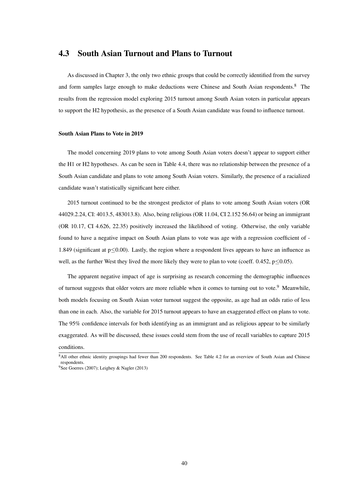### 4.3 South Asian Turnout and Plans to Turnout

As discussed in Chapter 3, the only two ethnic groups that could be correctly identified from the survey and form samples large enough to make deductions were Chinese and South Asian respondents.[8](#page-0-0) The results from the regression model exploring 2015 turnout among South Asian voters in particular appears to support the H2 hypothesis, as the presence of a South Asian candidate was found to influence turnout.

#### South Asian Plans to Vote in 2019

The model concerning 2019 plans to vote among South Asian voters doesn't appear to support either the H1 or H2 hypotheses. As can be seen in Table 4.4, there was no relationship between the presence of a South Asian candidate and plans to vote among South Asian voters. Similarly, the presence of a racialized candidate wasn't statistically significant here either.

2015 turnout continued to be the strongest predictor of plans to vote among South Asian voters (OR 44029.2.24, CI: 4013.5, 483013.8). Also, being religious (OR 11.04, CI 2.152 56.64) or being an immigrant (OR 10.17, CI 4.626, 22.35) positively increased the likelihood of voting. Otherwise, the only variable found to have a negative impact on South Asian plans to vote was age with a regression coefficient of - 1.849 (significant at p≤0.00). Lastly, the region where a respondent lives appears to have an influence as well, as the further West they lived the more likely they were to plan to vote (coeff. 0.452,  $p \le 0.05$ ).

The apparent negative impact of age is surprising as research concerning the demographic influences of turnout suggests that older voters are more reliable when it comes to turning out to vote.<sup>[9](#page-0-0)</sup> Meanwhile, both models focusing on South Asian voter turnout suggest the opposite, as age had an odds ratio of less than one in each. Also, the variable for 2015 turnout appears to have an exaggerated effect on plans to vote. The 95% confidence intervals for both identifying as an immigrant and as religious appear to be similarly exaggerated. As will be discussed, these issues could stem from the use of recall variables to capture 2015 conditions.

<sup>8</sup>All other ethnic identity groupings had fewer than 200 respondents. See Table 4.2 for an overview of South Asian and Chinese respondents. <sup>9</sup>See Goerres (2007); Leighey & Nagler (2013)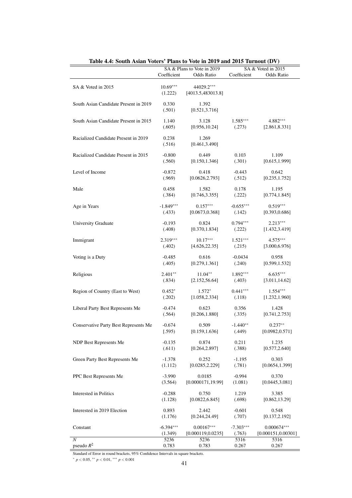|                                       |                       | SA & Plans to Vote in 2019       | SA & Voted in 2015 |                     |  |  |
|---------------------------------------|-----------------------|----------------------------------|--------------------|---------------------|--|--|
|                                       | Coefficient           | <b>Odds Ratio</b>                | Coefficient        | Odds Ratio          |  |  |
| SA & Voted in 2015                    | $10.69***$<br>(1.222) | 44029.2***<br>[4013.5, 483013.8] |                    |                     |  |  |
| South Asian Candidate Present in 2019 | 0.330<br>(.501)       | 1.392<br>[0.521, 3.716]          |                    |                     |  |  |
| South Asian Candidate Present in 2015 | 1.140                 | 3.128                            | $1.585***$         | 4.882***            |  |  |
|                                       | (.605)                | [0.956, 10.24]                   | (.273)             | [2.861, 8.331]      |  |  |
| Racialized Candidate Present in 2019  | 0.238<br>(.516)       | 1.269<br>[0.461, 3.490]          |                    |                     |  |  |
| Racialized Candidate Present in 2015  | $-0.800$              | 0.449                            | 0.103              | 1.109               |  |  |
|                                       | (.560)                | [0.150, 1.346]                   | (.301)             | [0.615, 1.999]      |  |  |
| Level of Income                       | $-0.872$              | 0.418                            | $-0.443$           | 0.642               |  |  |
|                                       | (.969)                | [0.0626, 2.793]                  | (.512)             | [0.235, 1.752]      |  |  |
| Male                                  | 0.458                 | 1.582                            | 0.178              | 1.195               |  |  |
|                                       | (.384)                | [0.746, 3.355]                   | (.222)             | [0.774, 1.845]      |  |  |
| Age in Years                          | $-1.849***$           | $0.157***$                       | $-0.655***$        | $0.519***$          |  |  |
|                                       | (.433)                | [0.0673, 0.368]                  | (.142)             | [0.393, 0.686]      |  |  |
| University Graduate                   | $-0.193$              | 0.824                            | $0.794***$         | $2.213***$          |  |  |
|                                       | (.408)                | [0.370, 1.834]                   | (.222)             | [1.432, 3.419]      |  |  |
| Immigrant                             | 2.319***              | $10.17***$                       | $1.521***$         | $4.575***$          |  |  |
|                                       | (.402)                | [4.626, 22.35]                   | (.215)             | [3.000, 6.976]      |  |  |
| Voting is a Duty                      | $-0.485$              | 0.616                            | $-0.0434$          | 0.958               |  |  |
|                                       | (.405)                | [0.279, 1.361]                   | (.240)             | [0.599, 1.532]      |  |  |
| Religious                             | $2.401**$             | $11.04**$                        | $1.892***$         | $6.635***$          |  |  |
|                                       | (.834)                | [2.152, 56.64]                   | (.403)             | [3.011, 14.62]      |  |  |
| Region of Country (East to West)      | $0.452*$              | $1.572*$                         | $0.441***$         | $1.554***$          |  |  |
|                                       | (.202)                | [1.058, 2.334]                   | (.118)             | [1.232, 1.960]      |  |  |
| Liberal Party Best Represents Me      | $-0.474$              | 0.623                            | 0.356              | 1.428               |  |  |
|                                       | (.564)                | [0.206, 1.880]                   | (.335)             | [0.741, 2.753]      |  |  |
| Conservative Party Best Represents Me | $-0.674$              | 0.509                            | $-1.440**$         | $0.237**$           |  |  |
|                                       | (.595)                | [0.159, 1.636]                   | (.449)             | [0.0982, 0.571]     |  |  |
| NDP Best Represents Me                | $-0.135$              | 0.874                            | 0.211              | 1.235               |  |  |
|                                       | (.611)                | [0.264, 2.897]                   | (.388)             | [0.577, 2.640]      |  |  |
| Green Party Best Represents Me        | $-1.378$              | 0.252                            | $-1.195$           | 0.303               |  |  |
|                                       | (1.112)               | [0.0285, 2.229]                  | (.781)             | [0.0654, 1.399]     |  |  |
| PPC Best Represents Me                | $-3.990$              | 0.0185                           | $-0.994$           | 0.370               |  |  |
|                                       | (3.564)               | [0.0000171, 19.99]               | (1.081)            | [0.0445, 3.081]     |  |  |
| Interested in Politics                | $-0.288$              | 0.750                            | 1.219              | 3.385               |  |  |
|                                       | (1.128)               | [0.0822, 6.845]                  | (.698)             | [0.862, 13.29]      |  |  |
| Interested in 2019 Election           | 0.893                 | 2.442                            | $-0.601$           | 0.548               |  |  |
|                                       | (1.176)               | [0.244, 24.49]                   | (.707)             | [0.137, 2.192]      |  |  |
| Constant                              | $-6.394***$           | $0.00167***$                     | $-7.303***$        | $0.000674***$       |  |  |
|                                       | (1.349)               | [0.000119, 0.0235]               | (.763)             | [0.000151, 0.00301] |  |  |
| $\boldsymbol{N}$                      | 5236                  | 5236                             | 5316               | 5316                |  |  |
| pseudo $R^2$                          | 0.783                 | 0.783                            | 0.267              | 0.267               |  |  |

| Table 4.4: South Asian Voters' Plans to Vote in 2019 and 2015 Turnout (DV) |  |  |  |  |  |  |
|----------------------------------------------------------------------------|--|--|--|--|--|--|
|----------------------------------------------------------------------------|--|--|--|--|--|--|

Standard of Error in round brackets, 95% Confidence Intervals in square brackets.

<sup>∗</sup> *p* < 0.05, ∗∗ *p* < 0.01, ∗∗∗ *p* < 0.001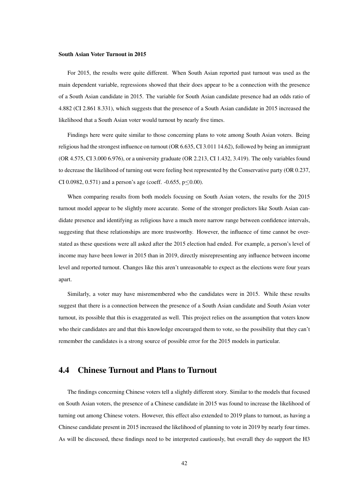#### South Asian Voter Turnout in 2015

For 2015, the results were quite different. When South Asian reported past turnout was used as the main dependent variable, regressions showed that their does appear to be a connection with the presence of a South Asian candidate in 2015. The variable for South Asian candidate presence had an odds ratio of 4.882 (CI 2.861 8.331), which suggests that the presence of a South Asian candidate in 2015 increased the likelihood that a South Asian voter would turnout by nearly five times.

Findings here were quite similar to those concerning plans to vote among South Asian voters. Being religious had the strongest influence on turnout (OR 6.635, CI 3.011 14.62), followed by being an immigrant (OR 4.575, CI 3.000 6.976), or a university graduate (OR 2.213, CI 1.432, 3.419). The only variables found to decrease the likelihood of turning out were feeling best represented by the Conservative party (OR 0.237, CI 0.0982, 0.571) and a person's age (coeff.  $-0.655$ ,  $p \le 0.00$ ).

When comparing results from both models focusing on South Asian voters, the results for the 2015 turnout model appear to be slightly more accurate. Some of the stronger predictors like South Asian candidate presence and identifying as religious have a much more narrow range between confidence intervals, suggesting that these relationships are more trustworthy. However, the influence of time cannot be overstated as these questions were all asked after the 2015 election had ended. For example, a person's level of income may have been lower in 2015 than in 2019, directly misrepresenting any influence between income level and reported turnout. Changes like this aren't unreasonable to expect as the elections were four years apart.

Similarly, a voter may have misremembered who the candidates were in 2015. While these results suggest that there is a connection between the presence of a South Asian candidate and South Asian voter turnout, its possible that this is exaggerated as well. This project relies on the assumption that voters know who their candidates are and that this knowledge encouraged them to vote, so the possibility that they can't remember the candidates is a strong source of possible error for the 2015 models in particular.

### 4.4 Chinese Turnout and Plans to Turnout

The findings concerning Chinese voters tell a slightly different story. Similar to the models that focused on South Asian voters, the presence of a Chinese candidate in 2015 was found to increase the likelihood of turning out among Chinese voters. However, this effect also extended to 2019 plans to turnout, as having a Chinese candidate present in 2015 increased the likelihood of planning to vote in 2019 by nearly four times. As will be discussed, these findings need to be interpreted cautiously, but overall they do support the H3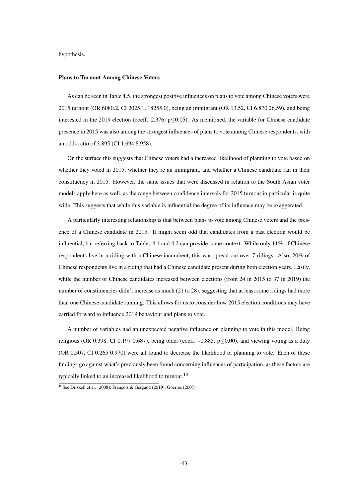hypothesis.

#### Plans to Turnout Among Chinese Voters

As can be seen in Table 4.5, the strongest positive influences on plans to vote among Chinese voters were 2015 turnout (OR 6080.2, CI 2025.1, 18255.0), being an immigrant (OR 13.52, CI 6.870 26.59), and being interested in the 2019 election (coeff. 2.376,  $p \le 0.05$ ). As mentioned, the variable for Chinese candidate presence in 2015 was also among the strongest influences of plans to vote among Chinese respondents, with an odds ratio of 3.895 (CI 1.694 8.958).

On the surface this suggests that Chinese voters had a increased likelihood of planning to vote based on whether they voted in 2015, whether they're an immigrant, and whether a Chinese candidate ran in their constituency in 2015. However, the same issues that were discussed in relation to the South Asian voter models apply here as well, as the range between confidence intervals for 2015 turnout in particular is quite wide. This suggests that while this variable is influential the degree of its influence may be exaggerated.

A particularly interesting relationship is that between plans to vote among Chinese voters and the presence of a Chinese candidate in 2015. It might seem odd that candidates from a past election would be influential, but referring back to Tables 4.1 and 4.2 can provide some context. While only 11% of Chinese respondents live in a riding with a Chinese incumbent, this was spread out over 7 ridings. Also, 20% of Chinese respondents live in a riding that had a Chinese candidate present during both election years. Lastly, while the number of Chinese candidates increased between elections (from 24 in 2015 to 37 in 2019) the number of constituencies didn't increase as much (21 to 28), suggesting that at least some ridings had more than one Chinese candidate running. This allows for us to consider how 2015 election conditions may have carried forward to influence 2019 behaviour and plans to vote.

A number of variables had an unexpected negative influence on planning to vote in this model. Being religious (OR 0.398, CI 0.197 0.687), being older (coeff.  $-0.885$ ,  $p \le 0.00$ ), and viewing voting as a duty (OR 0.507, CI 0.265 0.970) were all found to decrease the likelihood of planning to vote. Each of these findings go against what's previously been found concerning influences of participation, as these factors are typically linked to an increased likelihood to turnout.<sup>[10](#page-0-0)</sup>

 $10$ See Driskell et al. (2008); François & Gergaud (2019); Goerres (2007)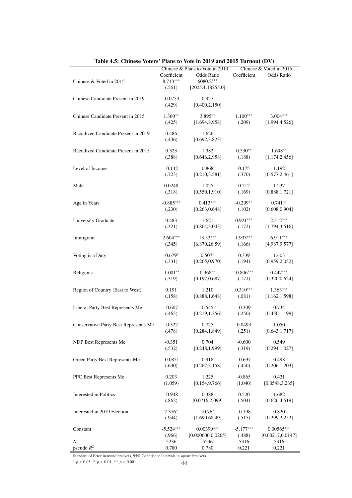|                                              | Chinese & Plans to Vote in 2019 |                    | Chinese & Voted in 2015 |                   |
|----------------------------------------------|---------------------------------|--------------------|-------------------------|-------------------|
|                                              | Coefficient                     | <b>Odds Ratio</b>  | Coefficient             | <b>Odds Ratio</b> |
| Chinese & Voted in 2015                      | $8.713***$                      | 6080.2***          |                         |                   |
|                                              | (.561)                          | [2025.1, 18255.0]  |                         |                   |
|                                              |                                 |                    |                         |                   |
| Chinese Candidate Present in 2019            | $-0.0753$                       | 0.927              |                         |                   |
|                                              | (.429)                          | [0.400, 2.150]     |                         |                   |
|                                              |                                 |                    |                         |                   |
| Chinese Candidate Present in 2015            | $1.360**$                       | 3.895**            | $1.100***$              | $3.004***$        |
|                                              | (.425)                          | [1.694, 8.958]     | (.209)                  | [1.994, 4.526]    |
| Racialized Candidate Present in 2019         | 0.486                           | 1.626              |                         |                   |
|                                              |                                 |                    |                         |                   |
|                                              | (.436)                          | [0.692, 3.823]     |                         |                   |
| Racialized Candidate Present in 2015         | 0.323                           | 1.382              | $0.530**$               | $1.698**$         |
|                                              | (.388)                          | [0.646, 2.958]     | (.188)                  | [1.174, 2.456]    |
|                                              |                                 |                    |                         |                   |
| Level of Income                              | $-0.142$                        | 0.868              | 0.175                   | 1.192             |
|                                              | (.723)                          | [0.210, 3.581]     | (.370)                  | [0.577, 2.461]    |
|                                              |                                 |                    |                         |                   |
| Male                                         | 0.0248                          | 1.025              | 0.212                   | 1.237             |
|                                              | (.318)                          | [0.550, 1.910]     | (.169)                  | [0.888, 1.721]    |
|                                              |                                 |                    |                         |                   |
| Age in Years                                 | $-0.885***$                     | $0.413***$         | $-0.299**$              | $0.741**$         |
|                                              | (.230)                          | [0.263, 0.648]     | (.102)                  | [0.608, 0.904]    |
|                                              |                                 | 1.621              |                         | $2.512***$        |
| <b>University Graduate</b>                   | 0.483                           |                    | $0.921***$              |                   |
|                                              | (.321)                          | [0.864, 3.043]     | (.172)                  | [1.794, 3.516]    |
| Immigrant                                    | $2.604***$                      | $13.52***$         | $1.933***$              | $6.911***$        |
|                                              | (.345)                          | [6.870, 26.59]     | (.166)                  | [4.987, 9.577]    |
|                                              |                                 |                    |                         |                   |
| Voting is a Duty                             | $-0.679*$                       | $0.507*$           | 0.339                   | 1.403             |
|                                              | (.331)                          | [0.265, 0.970]     | (.194)                  | [0.959, 2.052]    |
|                                              |                                 |                    |                         |                   |
| Religious                                    | $-1.001**$                      | $0.368**$          | $-0.806***$             | $0.447***$        |
|                                              | (.319)                          | [0.197, 0.687]     | (.171)                  | [0.320, 0.624]    |
|                                              |                                 |                    |                         |                   |
| Region of Country (East to West)             | 0.191                           | 1.210              | $0.310***$              | $1.363***$        |
|                                              | (.158)                          | [0.888, 1.648]     | (.081)                  | [1.162, 1.598]    |
| Liberal Party Best Represents Me             | $-0.607$                        | 0.545              | $-0.309$                | 0.734             |
|                                              | (.465)                          | [0.219, 1.356]     | (.250)                  | [0.450, 1.199]    |
|                                              |                                 |                    |                         |                   |
| <b>Conservative Party Best Represents Me</b> | $-0.322$                        | 0.725              | 0.0493                  | 1.050             |
|                                              | (.478)                          | [0.284, 1.849]     | (.251)                  | [0.643, 1.717]    |
|                                              |                                 |                    |                         |                   |
| NDP Best Represents Me                       | $-0.351$                        | 0.704              | $-0.600$                | 0.549             |
|                                              | (.532)                          | [0.248, 1.999]     | (.319)                  | [0.294, 1.027]    |
|                                              |                                 |                    |                         |                   |
| Green Party Best Represents Me               | $-0.0851$                       | 0.918              | $-0.697$                | 0.498             |
|                                              | (.630)                          | [0.267, 3.158]     | (.450)                  | [0.206, 1.203]    |
| PPC Best Represents Me                       | 0.203                           | 1.225              | $-0.865$                | 0.421             |
|                                              | (1.059)                         |                    |                         |                   |
|                                              |                                 | [0.154, 9.766]     | (1.040)                 | [0.0548, 3.235]   |
| Interested in Politics                       | $-0.948$                        | 0.388              | 0.520                   | 1.682             |
|                                              | (.862)                          | [0.0716, 2.099]    | (.504)                  | [0.626, 4.519]    |
|                                              |                                 |                    |                         |                   |
| Interested in 2019 Election                  | $2.376*$                        | $10.76*$           | $-0.198$                | 0.820             |
|                                              | (.944)                          | [1.690, 68.49]     | (.515)                  | [0.299, 2.252]    |
|                                              |                                 |                    |                         |                   |
| Constant                                     | $-5.524***$                     | $0.00399***$       | $-5.177***$             | $0.00565***$      |
|                                              | (.966)                          | [0.000600, 0.0265] | (.488)                  | [0.00217, 0.0147] |
| $\boldsymbol{N}$                             | 5236                            | 5236               | 5316                    | 5316              |
| pseudo $R^2$                                 | 0.780                           | 0.780              | 0.221                   | 0.221             |

Table 4.5: Chinese Voters' Plans to Vote in 2019 and 2015 Turnout (DV)

Standard of Error in round brackets, 95% Confidence Intervals in square brackets.

<sup>∗</sup> *<sup>p</sup>* <sup>&</sup>lt; <sup>0</sup>.05, ∗∗ *<sup>p</sup>* <sup>&</sup>lt; <sup>0</sup>.01, ∗∗∗ *<sup>p</sup>* <sup>&</sup>lt; <sup>0</sup>.<sup>001</sup> 44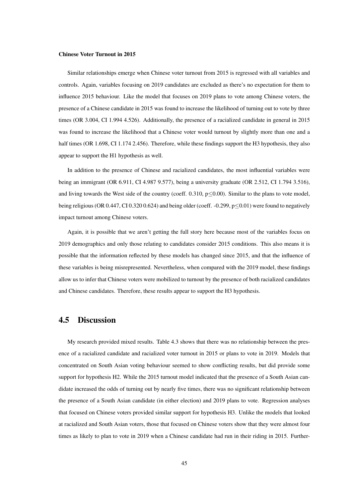#### Chinese Voter Turnout in 2015

Similar relationships emerge when Chinese voter turnout from 2015 is regressed with all variables and controls. Again, variables focusing on 2019 candidates are excluded as there's no expectation for them to influence 2015 behaviour. Like the model that focuses on 2019 plans to vote among Chinese voters, the presence of a Chinese candidate in 2015 was found to increase the likelihood of turning out to vote by three times (OR 3.004, CI 1.994 4.526). Additionally, the presence of a racialized candidate in general in 2015 was found to increase the likelihood that a Chinese voter would turnout by slightly more than one and a half times (OR 1.698, CI 1.174 2.456). Therefore, while these findings support the H3 hypothesis, they also appear to support the H1 hypothesis as well.

In addition to the presence of Chinese and racialized candidates, the most influential variables were being an immigrant (OR 6.911, CI 4.987 9.577), being a university graduate (OR 2.512, CI 1.794 3.516), and living towards the West side of the country (coeff. 0.310,  $p \le 0.00$ ). Similar to the plans to vote model, being religious (OR 0.447, CI 0.320 0.624) and being older (coeff. -0.299, p≤0.01) were found to negatively impact turnout among Chinese voters.

Again, it is possible that we aren't getting the full story here because most of the variables focus on 2019 demographics and only those relating to candidates consider 2015 conditions. This also means it is possible that the information reflected by these models has changed since 2015, and that the influence of these variables is being misrepresented. Nevertheless, when compared with the 2019 model, these findings allow us to infer that Chinese voters were mobilized to turnout by the presence of both racialized candidates and Chinese candidates. Therefore, these results appear to support the H3 hypothesis.

### 4.5 Discussion

My research provided mixed results. Table 4.3 shows that there was no relationship between the presence of a racialized candidate and racialized voter turnout in 2015 or plans to vote in 2019. Models that concentrated on South Asian voting behaviour seemed to show conflicting results, but did provide some support for hypothesis H2. While the 2015 turnout model indicated that the presence of a South Asian candidate increased the odds of turning out by nearly five times, there was no significant relationship between the presence of a South Asian candidate (in either election) and 2019 plans to vote. Regression analyses that focused on Chinese voters provided similar support for hypothesis H3. Unlike the models that looked at racialized and South Asian voters, those that focused on Chinese voters show that they were almost four times as likely to plan to vote in 2019 when a Chinese candidate had run in their riding in 2015. Further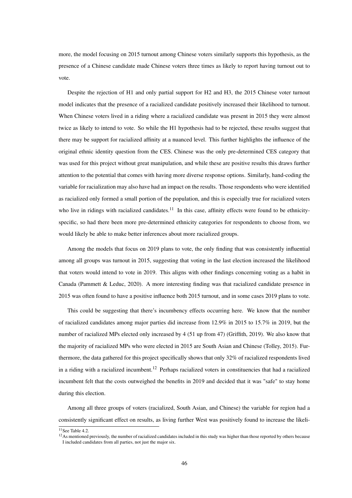more, the model focusing on 2015 turnout among Chinese voters similarly supports this hypothesis, as the presence of a Chinese candidate made Chinese voters three times as likely to report having turnout out to vote.

Despite the rejection of H1 and only partial support for H2 and H3, the 2015 Chinese voter turnout model indicates that the presence of a racialized candidate positively increased their likelihood to turnout. When Chinese voters lived in a riding where a racialized candidate was present in 2015 they were almost twice as likely to intend to vote. So while the H1 hypothesis had to be rejected, these results suggest that there may be support for racialized affinity at a nuanced level. This further highlights the influence of the original ethnic identity question from the CES. Chinese was the only pre-determined CES category that was used for this project without great manipulation, and while these are positive results this draws further attention to the potential that comes with having more diverse response options. Similarly, hand-coding the variable for racialization may also have had an impact on the results. Those respondents who were identified as racialized only formed a small portion of the population, and this is especially true for racialized voters who live in ridings with racialized candidates.<sup>[11](#page-0-0)</sup> In this case, affinity effects were found to be ethnicityspecific, so had there been more pre-determined ethnicity categories for respondents to choose from, we would likely be able to make better inferences about more racialized groups.

Among the models that focus on 2019 plans to vote, the only finding that was consistently influential among all groups was turnout in 2015, suggesting that voting in the last election increased the likelihood that voters would intend to vote in 2019. This aligns with other findings concerning voting as a habit in Canada (Pammett & Leduc, 2020). A more interesting finding was that racialized candidate presence in 2015 was often found to have a positive influence both 2015 turnout, and in some cases 2019 plans to vote.

This could be suggesting that there's incumbency effects occurring here. We know that the number of racialized candidates among major parties did increase from 12.9% in 2015 to 15.7% in 2019, but the number of racialized MPs elected only increased by 4 (51 up from 47) (Griffith, 2019). We also know that the majority of racialized MPs who were elected in 2015 are South Asian and Chinese (Tolley, 2015). Furthermore, the data gathered for this project specifically shows that only 32% of racialized respondents lived in a riding with a racialized incumbent.<sup>[12](#page-0-0)</sup> Perhaps racialized voters in constituencies that had a racialized incumbent felt that the costs outweighed the benefits in 2019 and decided that it was "safe" to stay home during this election.

Among all three groups of voters (racialized, South Asian, and Chinese) the variable for region had a consistently significant effect on results, as living further West was positively found to increase the likeli-

 $\frac{11}{11}$ See Table 4.2.

<sup>&</sup>lt;sup>12</sup>As mentioned previously, the number of racialized candidates included in this study was higher than those reported by others because I included candidates from all parties, not just the major six.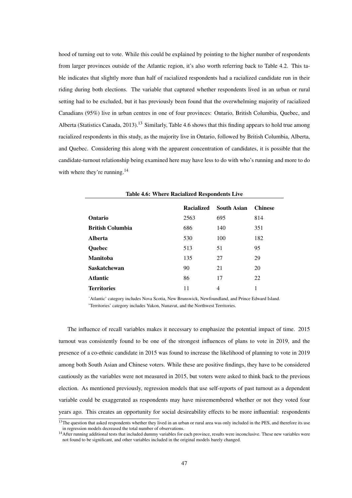hood of turning out to vote. While this could be explained by pointing to the higher number of respondents from larger provinces outside of the Atlantic region, it's also worth referring back to Table 4.2. This table indicates that slightly more than half of racialized respondents had a racialized candidate run in their riding during both elections. The variable that captured whether respondents lived in an urban or rural setting had to be excluded, but it has previously been found that the overwhelming majority of racialized Canadians (95%) live in urban centres in one of four provinces: Ontario, British Columbia, Quebec, and Alberta (Statistics Canada, 20[13](#page-0-0)).<sup>13</sup> Similarly, Table 4.6 shows that this finding appears to hold true among racialized respondents in this study, as the majority live in Ontario, followed by British Columbia, Alberta, and Quebec. Considering this along with the apparent concentration of candidates, it is possible that the candidate-turnout relationship being examined here may have less to do with who's running and more to do with where they're running.<sup>[14](#page-0-0)</sup>

|                         | <b>Racialized</b> | South Asian | <b>Chinese</b> |
|-------------------------|-------------------|-------------|----------------|
| Ontario                 | 2563              | 695         | 814            |
| <b>British Columbia</b> | 686               | 140         | 351            |
| <b>Alberta</b>          | 530               | 100         | 182            |
| Quebec                  | 513               | 51          | 95             |
| <b>Manitoba</b>         | 135               | 27          | 29             |
| <b>Saskatchewan</b>     | 90                | 21          | 20             |
| <b>Atlantic</b>         | 86                | 17          | 22             |
| <b>Territories</b>      | 11                | 4           |                |

Table 4.6: Where Racialized Respondents Live

'Atlantic' category includes Nova Scotia, New Brunswick, Newfoundland, and Prince Edward Island. 'Territories' category includes Yukon, Nunavut, and the Northwest Territories.

The influence of recall variables makes it necessary to emphasize the potential impact of time. 2015 turnout was consistently found to be one of the strongest influences of plans to vote in 2019, and the presence of a co-ethnic candidate in 2015 was found to increase the likelihood of planning to vote in 2019 among both South Asian and Chinese voters. While these are positive findings, they have to be considered cautiously as the variables were not measured in 2015, but voters were asked to think back to the previous election. As mentioned previously, regression models that use self-reports of past turnout as a dependent variable could be exaggerated as respondents may have misremembered whether or not they voted four years ago. This creates an opportunity for social desireability effects to be more influential: respondents

<sup>&</sup>lt;sup>13</sup>The question that asked respondents whether they lived in an urban or rural area was only included in the PES, and therefore its use in regression models decreased the total number of observations.

<sup>&</sup>lt;sup>14</sup> After running additional tests that included dummy variables for each province, results were inconclusive. These new variables were not found to be significant, and other variables included in the original models barely changed.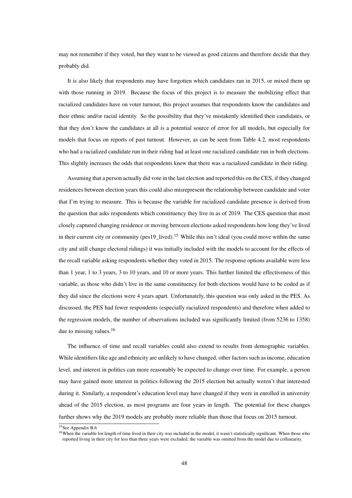may not remember if they voted, but they want to be viewed as good citizens and therefore decide that they probably did.

It is also likely that respondents may have forgotten which candidates ran in 2015, or mixed them up with those running in 2019. Because the focus of this project is to measure the mobilizing effect that racialized candidates have on voter turnout, this project assumes that respondents know the candidates and their ethnic and/or racial identity. So the possibility that they've mistakenly identified their candidates, or that they don't know the candidates at all is a potential source of error for all models, but especially for models that focus on reports of past turnout. However, as can be seen from Table 4.2, most respondents who had a racialized candidate run in their riding had at least one racialized candidate run in both elections. This slightly increases the odds that respondents knew that there was a racialized candidate in their riding.

Assuming that a person actually did vote in the last election and reported this on the CES, if they changed residences between election years this could also misrepresent the relationship between candidate and voter that I'm trying to measure. This is because the variable for racialized candidate presence is derived from the question that asks respondents which constituency they live in as of 2019. The CES question that most closely captured changing residence or moving between elections asked respondents how long they've lived in their current city or community (pes19 lived).<sup>[15](#page-0-0)</sup> While this isn't ideal (you could move within the same city and still change electoral ridings) it was initially included with the models to account for the effects of the recall variable asking respondents whether they voted in 2015. The response options available were less than 1 year, 1 to 3 years, 3 to 10 years, and 10 or more years. This further limited the effectiveness of this variable, as those who didn't live in the same constituency for both elections would have to be coded as if they did since the elections were 4 years apart. Unfortunately, this question was only asked in the PES. As discussed, the PES had fewer respondents (especially racialized respondents) and therefore when added to the regression models, the number of observations included was significantly limited (from 5236 to 1358) due to missing values.<sup>[16](#page-0-0)</sup>

The influence of time and recall variables could also extend to results from demographic variables. While identifiers like age and ethnicity are unlikely to have changed, other factors such as income, education level, and interest in politics can more reasonably be expected to change over time. For example, a person may have gained more interest in politics following the 2015 election but actually weren't that interested during it. Similarly, a respondent's education level may have changed if they were in enrolled in university ahead of the 2015 election, as most programs are four years in length. The potential for these changes further shows why the 2019 models are probably more reliable than those that focus on 2015 turnout.

<sup>&</sup>lt;sup>15</sup>See Appendix B.6

<sup>&</sup>lt;sup>16</sup>When the variable for length of time lived in their city was included in the model, it wasn't statistically significant. When those who reported living in their city for less than three years were excluded, the variable was omitted from the model due to collinearity.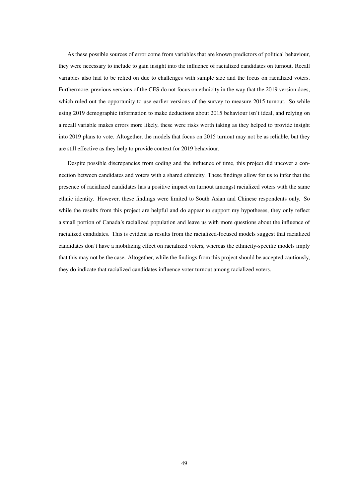As these possible sources of error come from variables that are known predictors of political behaviour, they were necessary to include to gain insight into the influence of racialized candidates on turnout. Recall variables also had to be relied on due to challenges with sample size and the focus on racialized voters. Furthermore, previous versions of the CES do not focus on ethnicity in the way that the 2019 version does, which ruled out the opportunity to use earlier versions of the survey to measure 2015 turnout. So while using 2019 demographic information to make deductions about 2015 behaviour isn't ideal, and relying on a recall variable makes errors more likely, these were risks worth taking as they helped to provide insight into 2019 plans to vote. Altogether, the models that focus on 2015 turnout may not be as reliable, but they are still effective as they help to provide context for 2019 behaviour.

Despite possible discrepancies from coding and the influence of time, this project did uncover a connection between candidates and voters with a shared ethnicity. These findings allow for us to infer that the presence of racialized candidates has a positive impact on turnout amongst racialized voters with the same ethnic identity. However, these findings were limited to South Asian and Chinese respondents only. So while the results from this project are helpful and do appear to support my hypotheses, they only reflect a small portion of Canada's racialized population and leave us with more questions about the influence of racialized candidates. This is evident as results from the racialized-focused models suggest that racialized candidates don't have a mobilizing effect on racialized voters, whereas the ethnicity-specific models imply that this may not be the case. Altogether, while the findings from this project should be accepted cautiously, they do indicate that racialized candidates influence voter turnout among racialized voters.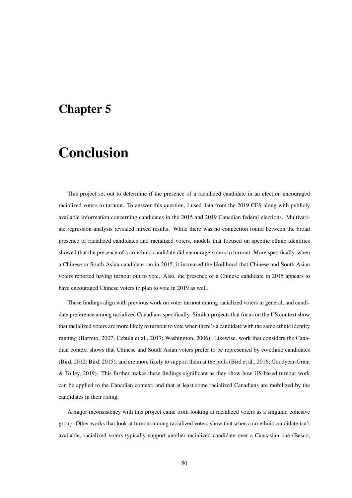### Chapter 5

# Conclusion

This project set out to determine if the presence of a racialized candidate in an election encouraged racialized voters to turnout. To answer this question, I used data from the 2019 CES along with publicly available information concerning candidates in the 2015 and 2019 Canadian federal elections. Multivariate regression analysis revealed mixed results. While there was no connection found between the broad presence of racialized candidates and racialized voters, models that focused on specific ethnic identities showed that the presence of a co-ethnic candidate did encourage voters to turnout. More specifically, when a Chinese or South Asian candidate ran in 2015, it increased the likelihood that Chinese and South Asian voters reported having turnout out to vote. Also, the presence of a Chinese candidate in 2015 appears to have encouraged Chinese voters to plan to vote in 2019 as well.

These findings align with previous work on voter turnout among racialized voters in general, and candidate preference among racialized Canadians specifically. Similar projects that focus on the US context show that racialized voters are more likely to turnout to vote when there's a candidate with the same ethnic identity running (Barreto, 2007; Cebula et al., 2017; Washington, 2006). Likewise, work that considers the Canadian context shows that Chinese and South Asian voters prefer to be represented by co-ethnic candidates (Bird, 2012; Bird, 2015), and are more likely to support them at the polls (Bird et al., 2016; Goodyear-Grant & Tolley, 2019). This further makes these findings significant as they show how US-based turnout work can be applied to the Canadian context, and that at least some racialized Canadians are mobilized by the candidates in their riding.

A major inconsistency with this project came from looking at racialized voters as a singular, cohesive group. Other works that look at turnout among racialized voters show that when a co-ethnic candidate isn't available, racialized voters typically support another racialized candidate over a Caucasian one (Besco,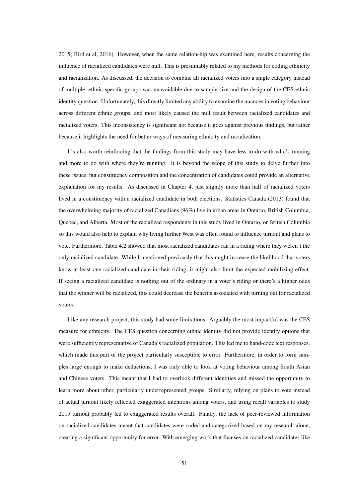2015; Bird et al, 2016). However, when the same relationship was examined here, results concerning the influence of racialized candidates were null. This is presumably related to my methods for coding ethnicity and racialization. As discussed, the decision to combine all racialized voters into a single category instead of multiple, ethnic-specific groups was unavoidable due to sample size and the design of the CES ethnic identity question. Unfortunately, this directly limited any ability to examine the nuances in voting behaviour across different ethnic groups, and most likely caused the null result between racialized candidates and racialized voters. This inconsistency is significant not because it goes against previous findings, but rather because it highlights the need for better ways of measuring ethnicity and racialization.

It's also worth reinforcing that the findings from this study may have less to do with who's running and more to do with where they're running. It is beyond the scope of this study to delve further into these issues, but constituency composition and the concentration of candidates could provide an alternative explanation for my results. As discussed in Chapter 4, just slightly more than half of racialized voters lived in a constituency with a racialized candidate in both elections. Statistics Canada (2013) found that the overwhelming majority of racialized Canadians (96%) live in urban areas in Ontario, British Columbia, Quebec, and Alberta. Most of the racialized respondents in this study lived in Ontario, or British Columbia so this would also help to explain why living further West was often found to influence turnout and plans to vote. Furthermore, Table 4.2 showed that most racialized candidates ran in a riding where they weren't the only racialized candidate. While I mentioned previously that this might increase the likelihood that voters know at least one racialized candidate in their riding, it might also limit the expected mobilizing effect. If seeing a racialized candidate is nothing out of the ordinary in a voter's riding or there's a higher odds that the winner will be racialized, this could decrease the benefits associated with turning out for racialized voters.

Like any research project, this study had some limitations. Arguably the most impactful was the CES measure for ethnicity. The CES question concerning ethnic identity did not provide identity options that were sufficiently representative of Canada's racialized population. This led me to hand-code text responses, which made this part of the project particularly susceptible to error. Furthermore, in order to form samples large enough to make deductions, I was only able to look at voting behaviour among South Asian and Chinese voters. This meant that I had to overlook different identities and missed the opportunity to learn more about other, particularly underrepresented groups. Similarly, relying on plans to vote instead of actual turnout likely reflected exaggerated intentions among voters, and using recall variables to study 2015 turnout probably led to exaggerated results overall. Finally, the lack of peer-reviewed information on racialized candidates meant that candidates were coded and categorized based on my research alone, creating a significant opportunity for error. With emerging work that focuses on racialized candidates like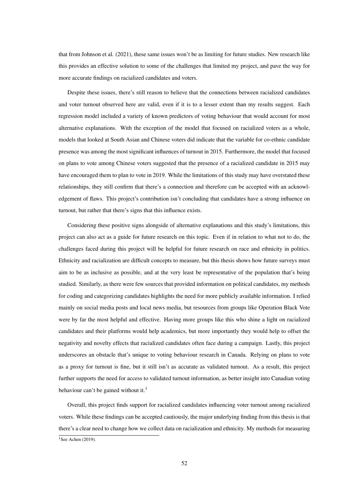that from Johnson et al. (2021), these same issues won't be as limiting for future studies. New research like this provides an effective solution to some of the challenges that limited my project, and pave the way for more accurate findings on racialized candidates and voters.

Despite these issues, there's still reason to believe that the connections between racialized candidates and voter turnout observed here are valid, even if it is to a lesser extent than my results suggest. Each regression model included a variety of known predictors of voting behaviour that would account for most alternative explanations. With the exception of the model that focused on racialized voters as a whole, models that looked at South Asian and Chinese voters did indicate that the variable for co-ethnic candidate presence was among the most significant influences of turnout in 2015. Furthermore, the model that focused on plans to vote among Chinese voters suggested that the presence of a racialized candidate in 2015 may have encouraged them to plan to vote in 2019. While the limitations of this study may have overstated these relationships, they still confirm that there's a connection and therefore can be accepted with an acknowledgement of flaws. This project's contribution isn't concluding that candidates have a strong influence on turnout, but rather that there's signs that this influence exists.

Considering these positive signs alongside of alternative explanations and this study's limitations, this project can also act as a guide for future research on this topic. Even if in relation to what not to do, the challenges faced during this project will be helpful for future research on race and ethnicity in politics. Ethnicity and racialization are difficult concepts to measure, but this thesis shows how future surveys must aim to be as inclusive as possible, and at the very least be representative of the population that's being studied. Similarly, as there were few sources that provided information on political candidates, my methods for coding and categorizing candidates highlights the need for more publicly available information. I relied mainly on social media posts and local news media, but resources from groups like Operation Black Vote were by far the most helpful and effective. Having more groups like this who shine a light on racialized candidates and their platforms would help academics, but more importantly they would help to offset the negativity and novelty effects that racialized candidates often face during a campaign. Lastly, this project underscores an obstacle that's unique to voting behaviour research in Canada. Relying on plans to vote as a proxy for turnout is fine, but it still isn't as accurate as validated turnout. As a result, this project further supports the need for access to validated turnout information, as better insight into Canadian voting behaviour can't be gained without it.<sup>[1](#page-0-0)</sup>

Overall, this project finds support for racialized candidates influencing voter turnout among racialized voters. While these findings can be accepted cautiously, the major underlying finding from this thesis is that there's a clear need to change how we collect data on racialization and ethnicity. My methods for measuring  $1$ See Achen (2019).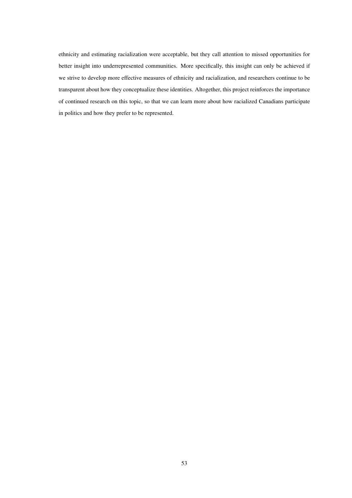ethnicity and estimating racialization were acceptable, but they call attention to missed opportunities for better insight into underrepresented communities. More specifically, this insight can only be achieved if we strive to develop more effective measures of ethnicity and racialization, and researchers continue to be transparent about how they conceptualize these identities. Altogether, this project reinforces the importance of continued research on this topic, so that we can learn more about how racialized Canadians participate in politics and how they prefer to be represented.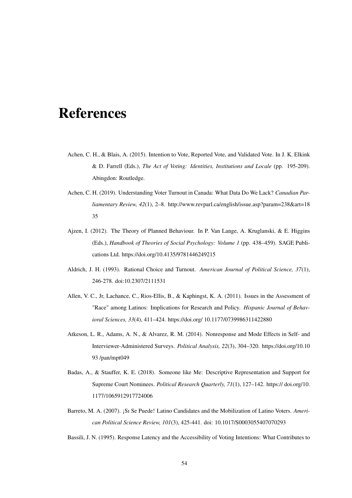# References

- Achen, C. H., & Blais, A. (2015). Intention to Vote, Reported Vote, and Validated Vote. In J. K. Elkink & D. Farrell (Eds.), *The Act of Voting: Identities, Institutions and Locale* (pp. 195-209). Abingdon: Routledge.
- Achen, C. H. (2019). Understanding Voter Turnout in Canada: What Data Do We Lack? *Canadian Parliamentary Review, 42*(1), 2–8. http://www.revparl.ca/english/issue.asp?param=238&art=18 35
- Ajzen, I. (2012). The Theory of Planned Behaviour. In P. Van Lange, A. Kruglanski, & E. Higgins (Eds.), *Handbook of Theories of Social Psychology: Volume 1* (pp. 438–459). SAGE Publications Ltd. https://doi.org/10.4135/9781446249215
- Aldrich, J. H. (1993). Rational Choice and Turnout. *American Journal of Political Science, 37*(1), 246-278. doi:10.2307/2111531
- Allen, V. C., Jr, Lachance, C., Rios-Ellis, B., & Kaphingst, K. A. (2011). Issues in the Assessment of "Race" among Latinos: Implications for Research and Policy. *Hispanic Journal of Behavioral Sciences, 33*(4), 411–424. https://doi.org/ 10.1177/0739986311422880
- Atkeson, L. R., Adams, A. N., & Alvarez, R. M. (2014). Nonresponse and Mode Effects in Self- and Interviewer-Administered Surveys. *Political Analysis, 22*(3), 304–320. https://doi.org/10.10 93 /pan/mpt049
- Badas, A., & Stauffer, K. E. (2018). Someone like Me: Descriptive Representation and Support for Supreme Court Nominees. *Political Research Quarterly, 71*(1), 127–142. https:// doi.org/10. 1177/1065912917724006
- Barreto, M. A. (2007). ¡Sı Se Puede! Latino Candidates and the Mobilization of Latino Voters. *American Political Science Review, 101*(3), 425-441. doi: 10.1017/S0003055407070293
- Bassili, J. N. (1995). Response Latency and the Accessibility of Voting Intentions: What Contributes to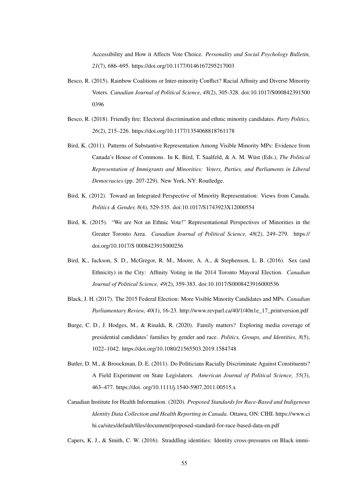Accessibility and How it Affects Vote Choice. *Personality and Social Psychology Bulletin, 21*(7), 686–695. https://doi.org/10.1177/0146167295217003

- Besco, R. (2015). Rainbow Coalitions or Inter-minority Conflict? Racial Affinity and Diverse Minority Voters. *Canadian Journal of Political Science, 48*(2), 305-328. doi:10.1017/S000842391500 0396
- Besco, R. (2018). Friendly fire: Electoral discrimination and ethnic minority candidates. *Party Politics, 26*(2), 215–226. https://doi.org/10.1177/1354068818761178
- Bird, K. (2011). Patterns of Substantive Representation Among Visible Minority MPs: Evidence from Canada's House of Commons. In K. Bird, T. Saalfeld, & A. M. Wüst (Eds.), *The Political Representation of Immigrants and Minorities: Voters, Parties, and Parliaments in Liberal Democracies* (pp. 207-229). New York, NY: Routledge.
- Bird, K. (2012). Toward an Integrated Perspective of Minority Representation: Views from Canada. *Politics & Gender, 8*(4), 529-535. doi:10.1017/S1743923X12000554
- Bird, K. (2015). "We are Not an Ethnic Vote!" Representational Perspectives of Minorities in the Greater Toronto Area. *Canadian Journal of Political Science, 48*(2), 249–279. https:// doi.org/10.1017/S 0008423915000256
- Bird, K., Jackson, S. D., McGregor, R. M., Moore, A. A., & Stephenson, L. B. (2016). Sex (and Ethnicity) in the City: Affinity Voting in the 2014 Toronto Mayoral Election. *Canadian Journal of Political Science, 49*(2), 359-383. doi:10.1017/S0008423916000536
- Black, J. H. (2017). The 2015 Federal Election: More Visible Minority Candidates and MPs. *Canadian Parliamentary Review, 40*(1), 16-23. http://www.revparl.ca/40/1/40n1e\_17\_printversion.pdf
- Burge, C. D., J. Hodges, M., & Rinaldi, R. (2020). Family matters? Exploring media coverage of presidential candidates' families by gender and race. *Politics, Groups, and Identities, 8*(5), 1022–1042. https://doi.org/10.1080/21565503.2019.1584748
- Butler, D. M., & Broockman, D. E. (2011). Do Politicians Racially Discriminate Against Constituents? A Field Experiment on State Legislators. *American Journal of Political Science, 55*(3), 463–477. https://doi. org/10.1111/j.1540-5907.2011.00515.x
- Canadian Institute for Health Information. (2020). *Proposed Standards for Race-Based and Indigenous Identity Data Collection and Health Reporting in Canada*. Ottawa, ON: CIHI. https://www.ci hi.ca/sites/default/files/document/proposed-standard-for-race-based-data-en.pdf

Capers, K. J., & Smith, C. W. (2016). Straddling identities: Identity cross-pressures on Black immi-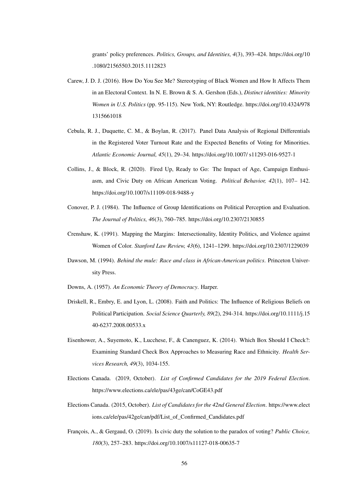grants' policy preferences. *Politics, Groups, and Identities, 4*(3), 393–424. https://doi.org/10 .1080/21565503.2015.1112823

- Carew, J. D. J. (2016). How Do You See Me? Stereotyping of Black Women and How It Affects Them in an Electoral Context. In N. E. Brown & S. A. Gershon (Eds.), *Distinct identities: Minority Women in U.S. Politics* (pp. 95-115). New York, NY: Routledge. https://doi.org/10.4324/978 1315661018
- Cebula, R. J., Duquette, C. M., & Boylan, R. (2017). Panel Data Analysis of Regional Differentials in the Registered Voter Turnout Rate and the Expected Benefits of Voting for Minorities. *Atlantic Economic Journal, 45*(1), 29–34. https://doi.org/10.1007/ s11293-016-9527-1
- Collins, J., & Block, R. (2020). Fired Up, Ready to Go: The Impact of Age, Campaign Enthusiasm, and Civic Duty on African American Voting. *Political Behavior, 42*(1), 107– 142. https://doi.org/10.1007/s11109-018-9488-y
- Conover, P. J. (1984). The Influence of Group Identifications on Political Perception and Evaluation. *The Journal of Politics, 46*(3), 760–785. https://doi.org/10.2307/2130855
- Crenshaw, K. (1991). Mapping the Margins: Intersectionality, Identity Politics, and Violence against Women of Color. *Stanford Law Review, 43*(6), 1241–1299. https://doi.org/10.2307/1229039
- Dawson, M. (1994). *Behind the mule: Race and class in African-American politics*. Princeton University Press.
- Downs, A. (1957). *An Economic Theory of Democracy*. Harper.
- Driskell, R., Embry, E. and Lyon, L. (2008). Faith and Politics: The Influence of Religious Beliefs on Political Participation. *Social Science Quarterly, 89*(2), 294-314. https://doi.org/10.1111/j.15 40-6237.2008.00533.x
- Eisenhower, A., Suyemoto, K., Lucchese, F., & Canenguez, K. (2014). Which Box Should I Check?: Examining Standard Check Box Approaches to Measuring Race and Ethnicity. *Health Services Research, 49*(3), 1034-155.
- Elections Canada. (2019, October). *List of Confirmed Candidates for the 2019 Federal Election*. https://www.elections.ca/ele/pas/43ge/can/CoGE43.pdf
- Elections Canada. (2015, October). *List of Candidates for the 42nd General Election*. https://www.elect ions.ca/ele/pas/42ge/can/pdf/List\_of\_Confirmed\_Candidates.pdf
- François, A., & Gergaud, O. (2019). Is civic duty the solution to the paradox of voting? *Public Choice, 180*(3), 257–283. https://doi.org/10.1007/s11127-018-00635-7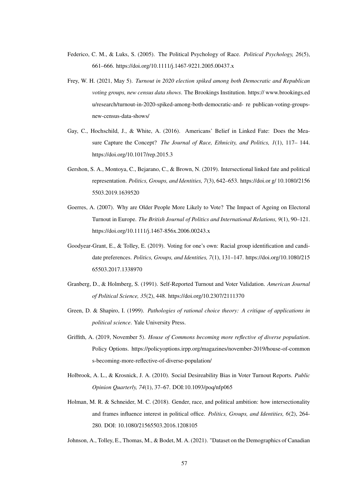- Federico, C. M., & Luks, S. (2005). The Political Psychology of Race. *Political Psychology, 26*(5), 661–666. https://doi.org/10.1111/j.1467-9221.2005.00437.x
- Frey, W. H. (2021, May 5). *Turnout in 2020 election spiked among both Democratic and Republican voting groups, new census data shows*. The Brookings Institution. https:// www.brookings.ed u/research/turnout-in-2020-spiked-among-both-democratic-and- re publican-voting-groupsnew-census-data-shows/
- Gay, C., Hochschild, J., & White, A. (2016). Americans' Belief in Linked Fate: Does the Measure Capture the Concept? *The Journal of Race, Ethnicity, and Politics, 1*(1), 117– 144. https://doi.org/10.1017/rep.2015.3
- Gershon, S. A., Montoya, C., Bejarano, C., & Brown, N. (2019). Intersectional linked fate and political representation. *Politics, Groups, and Identities, 7*(3), 642–653. https://doi.or g/ 10.1080/2156 5503.2019.1639520
- Goerres, A. (2007). Why are Older People More Likely to Vote? The Impact of Ageing on Electoral Turnout in Europe. *The British Journal of Politics and International Relations, 9*(1), 90–121. https://doi.org/10.1111/j.1467-856x.2006.00243.x
- Goodyear-Grant, E., & Tolley, E. (2019). Voting for one's own: Racial group identification and candidate preferences. *Politics, Groups, and Identities, 7*(1), 131–147. https://doi.org/10.1080/215 65503.2017.1338970
- Granberg, D., & Holmberg, S. (1991). Self-Reported Turnout and Voter Validation. *American Journal of Political Science, 35*(2), 448. https://doi.org/10.2307/2111370
- Green, D. & Shapiro, I. (1999). *Pathologies of rational choice theory: A critique of applications in political science*. Yale University Press.
- Griffith, A. (2019, November 5). *House of Commons becoming more reflective of diverse population*. Policy Options. https://policyoptions.irpp.org/magazines/november-2019/house-of-common s-becoming-more-reflective-of-diverse-population/
- Holbrook, A. L., & Krosnick, J. A. (2010). Social Desireability Bias in Voter Turnout Reports. *Public Opinion Quarterly, 74*(1), 37–67. DOI:10.1093/poq/nfp065
- Holman, M. R. & Schneider, M. C. (2018). Gender, race, and political ambition: how intersectionality and frames influence interest in political office. *Politics, Groups, and Identities, 6*(2), 264- 280. DOI: 10.1080/21565503.2016.1208105

Johnson, A., Tolley, E., Thomas, M., & Bodet, M. A. (2021). "Dataset on the Demographics of Canadian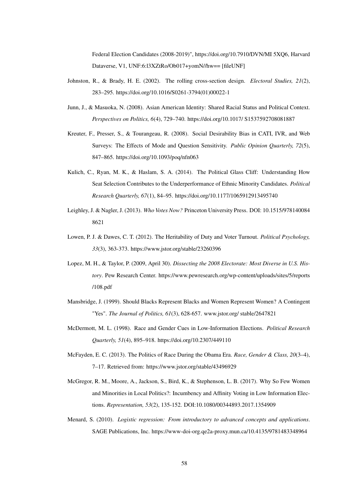Federal Election Candidates (2008-2019)", https://doi.org/10.7910/DVN/MI 5XQ6, Harvard Dataverse, V1, UNF:6:l3XZtRo/Ob017+yomN//hw== [fileUNF]

- Johnston, R., & Brady, H. E. (2002). The rolling cross-section design. *Electoral Studies, 21*(2), 283–295. https://doi.org/10.1016/S0261-3794(01)00022-1
- Junn, J., & Masuoka, N. (2008). Asian American Identity: Shared Racial Status and Political Context. *Perspectives on Politics, 6*(4), 729–740. https://doi.org/10.1017/ S1537592708081887
- Kreuter, F., Presser, S., & Tourangeau, R. (2008). Social Desirability Bias in CATI, IVR, and Web Surveys: The Effects of Mode and Question Sensitivity. *Public Opinion Quarterly, 72*(5), 847–865. https://doi.org/10.1093/poq/nfn063
- Kulich, C., Ryan, M. K., & Haslam, S. A. (2014). The Political Glass Cliff: Understanding How Seat Selection Contributes to the Underperformance of Ethnic Minority Candidates. *Political Research Quarterly, 67*(1), 84–95. https://doi.org/10.1177/1065912913495740
- Leighley, J. & Nagler, J. (2013). *Who Votes Now?* Princeton University Press. DOI: 10.1515/978140084 8621
- Lowen, P. J. & Dawes, C. T. (2012). The Heritability of Duty and Voter Turnout. *Political Psychology, 33*(3), 363-373. https://www.jstor.org/stable/23260396
- Lopez, M. H., & Taylor, P. (2009, April 30). *Dissecting the 2008 Electorate: Most Diverse in U.S. History*. Pew Research Center. https://www.pewresearch.org/wp-content/uploads/sites/5/reports /108.pdf
- Mansbridge, J. (1999). Should Blacks Represent Blacks and Women Represent Women? A Contingent "Yes". *The Journal of Politics, 61*(3), 628-657. www.jstor.org/ stable/2647821
- McDermott, M. L. (1998). Race and Gender Cues in Low-Information Elections. *Political Research Quarterly, 51*(4), 895–918. https://doi.org/10.2307/449110
- McFayden, E. C. (2013). The Politics of Race During the Obama Era. *Race, Gender & Class, 20*(3–4), 7–17. Retrieved from: https://www.jstor.org/stable/43496929
- McGregor, R. M., Moore, A., Jackson, S., Bird, K., & Stephenson, L. B. (2017). Why So Few Women and Minorities in Local Politics?: Incumbency and Affinity Voting in Low Information Elections. *Representation, 53*(2), 135-152. DOI:10.1080/00344893.2017.1354909
- Menard, S. (2010). *Logistic regression: From introductory to advanced concepts and applications*. SAGE Publications, Inc. https://www-doi-org.qe2a-proxy.mun.ca/10.4135/9781483348964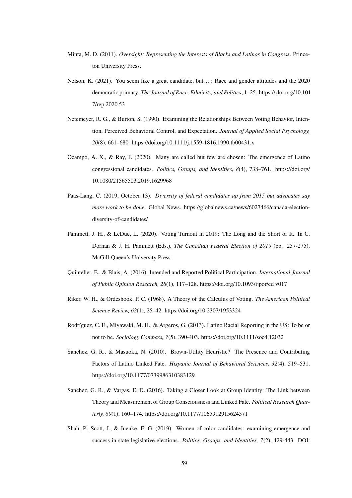- Minta, M. D. (2011). *Oversight: Representing the Interests of Blacks and Latinos in Congress*. Princeton University Press.
- Nelson, K. (2021). You seem like a great candidate, but...: Race and gender attitudes and the 2020 democratic primary. *The Journal of Race, Ethnicity, and Politics*, 1–25. https:// doi.org/10.101 7/rep.2020.53
- Netemeyer, R. G., & Burton, S. (1990). Examining the Relationships Between Voting Behavior, Intention, Perceived Behavioral Control, and Expectation. *Journal of Applied Social Psychology, 20*(8), 661–680. https://doi.org/10.1111/j.1559-1816.1990.tb00431.x
- Ocampo, A. X., & Ray, J. (2020). Many are called but few are chosen: The emergence of Latino congressional candidates. *Politics, Groups, and Identities, 8*(4), 738–761. https://doi.org/ 10.1080/21565503.2019.1629968
- Paas-Lang, C. (2019, October 13). *Diversity of federal candidates up from 2015 but advocates say more work to be done.* Global News. https://globalnews.ca/news/6027466/canada-electiondiversity-of-candidates/
- Pammett, J. H., & LeDuc, L. (2020). Voting Turnout in 2019: The Long and the Short of It. In C. Dornan & J. H. Pammett (Eds.), *The Canadian Federal Election of 2019* (pp. 257-275). McGill-Queen's University Press.
- Quintelier, E., & Blais, A. (2016). Intended and Reported Political Participation. *International Journal of Public Opinion Research, 28*(1), 117–128. https://doi.org/10.1093/ijpor/ed v017
- Riker, W. H., & Ordeshook, P. C. (1968). A Theory of the Calculus of Voting. *The American Political Science Review, 62*(1), 25–42. https://doi.org/10.2307/1953324
- Rodríguez, C. E., Miyawaki, M. H., & Argeros, G. (2013). Latino Racial Reporting in the US: To be or not to be. *Sociology Compass, 7*(5), 390-403. https://doi.org/10.1111/soc4.12032
- Sanchez, G. R., & Masuoka, N. (2010). Brown-Utility Heuristic? The Presence and Contributing Factors of Latino Linked Fate. *Hispanic Journal of Behavioral Sciences, 32*(4), 519–531. https://doi.org/10.1177/0739986310383129
- Sanchez, G. R., & Vargas, E. D. (2016). Taking a Closer Look at Group Identity: The Link between Theory and Measurement of Group Consciousness and Linked Fate. *Political Research Quarterly, 69*(1), 160–174. https://doi.org/10.1177/1065912915624571
- Shah, P., Scott, J., & Juenke, E. G. (2019). Women of color candidates: examining emergence and success in state legislative elections. *Politics, Groups, and Identities, 7*(2), 429-443. DOI: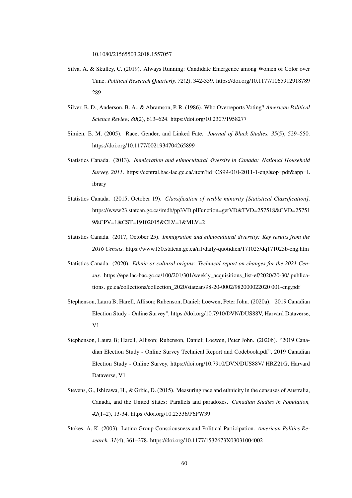10.1080/21565503.2018.1557057

- Silva, A. & Skulley, C. (2019). Always Running: Candidate Emergence among Women of Color over Time. *Political Research Quarterly, 72*(2), 342-359. https://doi.org/10.1177/1065912918789 289
- Silver, B. D., Anderson, B. A., & Abramson, P. R. (1986). Who Overreports Voting? *American Political Science Review, 80*(2), 613–624. https://doi.org/10.2307/1958277
- Simien, E. M. (2005). Race, Gender, and Linked Fate. *Journal of Black Studies, 35*(5), 529–550. https://doi.org/10.1177/0021934704265899
- Statistics Canada. (2013). *Immigration and ethnocultural diversity in Canada: National Household Survey, 2011*. https://central.bac-lac.gc.ca/.item?id=CS99-010-2011-1-eng&op=pdf&app=L ibrary
- Statistics Canada. (2015, October 19). *Classification of visible minority [Statistical Classification]*. https://www23.statcan.gc.ca/imdb/pp3VD.plFunction=getVD&TVD=257518&CVD=25751 9&CPV=1&CST=19102015&CLV=1&MLV=2
- Statistics Canada. (2017, October 25). *Immigration and ethnocultural diversity: Key results from the 2016 Census*. https://www150.statcan.gc.ca/n1/daily-quotidien/171025/dq171025b-eng.htm
- Statistics Canada. (2020). *Ethnic or cultural origins: Technical report on changes for the 2021 Census*. https://epe.lac-bac.gc.ca/100/201/301/weekly\_acquisitions\_list-ef/2020/20-30/ publications. gc.ca/collections/collection\_2020/statcan/98-20-0002/982000022020 001-eng.pdf
- Stephenson, Laura B; Harell, Allison; Rubenson, Daniel; Loewen, Peter John. (2020a). "2019 Canadian Election Study - Online Survey", https://doi.org/10.7910/DVN/DUS88V, Harvard Dataverse, V1
- Stephenson, Laura B; Harell, Allison; Rubenson, Daniel; Loewen, Peter John. (2020b). "2019 Canadian Election Study - Online Survey Technical Report and Codebook.pdf", 2019 Canadian Election Study - Online Survey, https://doi.org/10.7910/DVN/DUS88V/ HRZ21G, Harvard Dataverse, V1
- Stevens, G., Ishizawa, H., & Grbic, D. (2015). Measuring race and ethnicity in the censuses of Australia, Canada, and the United States: Parallels and paradoxes. *Canadian Studies in Population, 42*(1–2), 13-34. https://doi.org/10.25336/P6PW39
- Stokes, A. K. (2003). Latino Group Consciousness and Political Participation. *American Politics Research, 31*(4), 361–378. https://doi.org/10.1177/1532673X03031004002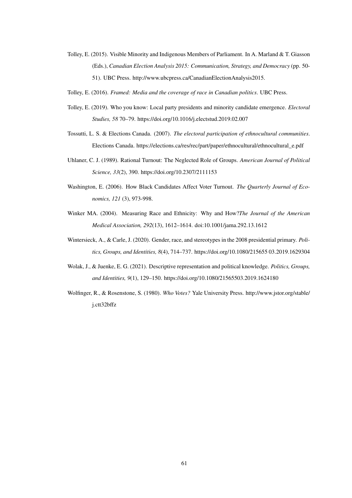- Tolley, E. (2015). Visible Minority and Indigenous Members of Parliament. In A. Marland & T. Giasson (Eds.), *Canadian Election Analysis 2015: Communication, Strategy, and Democracy* (pp. 50- 51). UBC Press. http://www.ubcpress.ca/CanadianElectionAnalysis2015.
- Tolley, E. (2016). *Framed: Media and the coverage of race in Canadian politics*. UBC Press.
- Tolley, E. (2019). Who you know: Local party presidents and minority candidate emergence. *Electoral Studies, 58* 70–79. https://doi.org/10.1016/j.electstud.2019.02.007
- Tossutti, L. S. & Elections Canada. (2007). *The electoral participation of ethnocultural communities*. Elections Canada. https://elections.ca/res/rec/part/paper/ethnocultural/ethnocultural\_e.pdf
- Uhlaner, C. J. (1989). Rational Turnout: The Neglected Role of Groups. *American Journal of Political Science, 33*(2), 390. https://doi.org/10.2307/2111153
- Washington, E. (2006). How Black Candidates Affect Voter Turnout. *The Quarterly Journal of Economics, 121* (3), 973-998.
- Winker MA. (2004). Measuring Race and Ethnicity: Why and How?*The Journal of the American Medical Association, 292*(13), 1612–1614. doi:10.1001/jama.292.13.1612
- Wintersieck, A., & Carle, J. (2020). Gender, race, and stereotypes in the 2008 presidential primary. *Politics, Groups, and Identities, 8*(4), 714–737. https://doi.org/10.1080/215655 03.2019.1629304
- Wolak, J., & Juenke, E. G. (2021). Descriptive representation and political knowledge. *Politics, Groups, and Identities, 9*(1), 129–150. https://doi.org/10.1080/21565503.2019.1624180
- Wolfinger, R., & Rosenstone, S. (1980). *Who Votes?* Yale University Press. http://www.jstor.org/stable/ j.ctt32bffz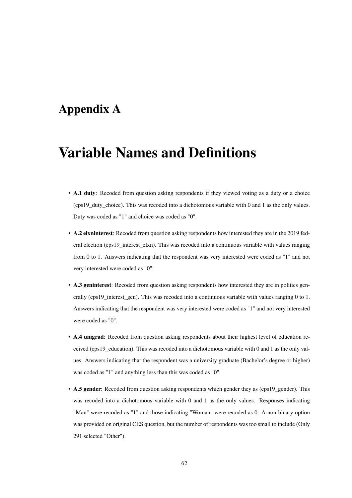### Appendix A

# Variable Names and Definitions

- A.1 duty: Recoded from question asking respondents if they viewed voting as a duty or a choice (cps19\_duty\_choice). This was recoded into a dichotomous variable with 0 and 1 as the only values. Duty was coded as "1" and choice was coded as "0".
- A.2 elxninterest: Recoded from question asking respondents how interested they are in the 2019 federal election (cps19\_interest\_elxn). This was recoded into a continuous variable with values ranging from 0 to 1. Answers indicating that the respondent was very interested were coded as "1" and not very interested were coded as "0".
- A.3 geninterest: Recoded from question asking respondents how interested they are in politics generally (cps19\_interest\_gen). This was recoded into a continuous variable with values ranging 0 to 1. Answers indicating that the respondent was very interested were coded as "1" and not very interested were coded as "0".
- A.4 unigrad: Recoded from question asking respondents about their highest level of education received (cps19\_education). This was recoded into a dichotomous variable with 0 and 1 as the only values. Answers indicating that the respondent was a university graduate (Bachelor's degree or higher) was coded as "1" and anything less than this was coded as "0".
- A.5 gender: Recoded from question asking respondents which gender they as (cps19\_gender). This was recoded into a dichotomous variable with 0 and 1 as the only values. Responses indicating "Man" were recoded as "1" and those indicating "Woman" were recoded as 0. A non-binary option was provided on original CES question, but the number of respondents was too small to include (Only 291 selected "Other").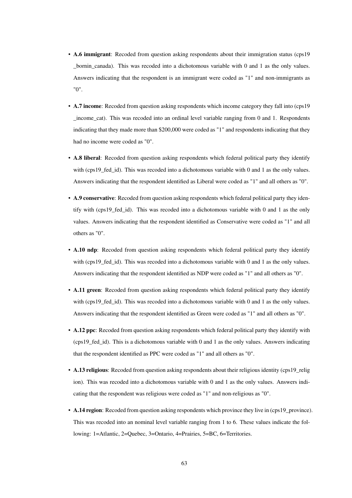- A.6 immigrant: Recoded from question asking respondents about their immigration status (cps19 \_bornin\_canada). This was recoded into a dichotomous variable with 0 and 1 as the only values. Answers indicating that the respondent is an immigrant were coded as "1" and non-immigrants as "0".
- A.7 income: Recoded from question asking respondents which income category they fall into (cps19 income cat). This was recoded into an ordinal level variable ranging from 0 and 1. Respondents indicating that they made more than \$200,000 were coded as "1" and respondents indicating that they had no income were coded as "0".
- A.8 liberal: Recoded from question asking respondents which federal political party they identify with (cps19\_fed\_id). This was recoded into a dichotomous variable with 0 and 1 as the only values. Answers indicating that the respondent identified as Liberal were coded as "1" and all others as "0".
- A.9 conservative: Recoded from question asking respondents which federal political party they identify with (cps19\_fed\_id). This was recoded into a dichotomous variable with 0 and 1 as the only values. Answers indicating that the respondent identified as Conservative were coded as "1" and all others as "0".
- A.10 ndp: Recoded from question asking respondents which federal political party they identify with (cps19\_fed\_id). This was recoded into a dichotomous variable with 0 and 1 as the only values. Answers indicating that the respondent identified as NDP were coded as "1" and all others as "0".
- A.11 green: Recoded from question asking respondents which federal political party they identify with (cps19 fed id). This was recoded into a dichotomous variable with 0 and 1 as the only values. Answers indicating that the respondent identified as Green were coded as "1" and all others as "0".
- A.12 ppc: Recoded from question asking respondents which federal political party they identify with (cps19\_fed\_id). This is a dichotomous variable with 0 and 1 as the only values. Answers indicating that the respondent identified as PPC were coded as "1" and all others as "0".
- A.13 religious: Recoded from question asking respondents about their religious identity (cps19\_relig ion). This was recoded into a dichotomous variable with 0 and 1 as the only values. Answers indicating that the respondent was religious were coded as "1" and non-religious as "0".
- A.14 region: Recoded from question asking respondents which province they live in (cps19\_province). This was recoded into an nominal level variable ranging from 1 to 6. These values indicate the following: 1=Atlantic, 2=Quebec, 3=Ontario, 4=Prairies, 5=BC, 6=Territories.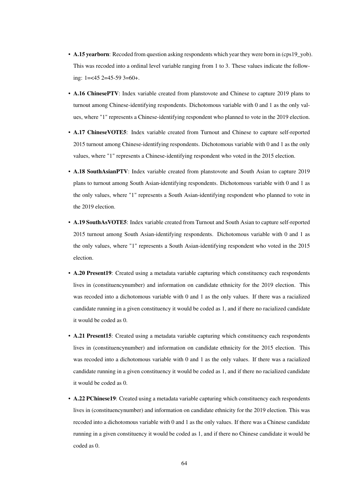- A.15 yearborn: Recoded from question asking respondents which year they were born in (cps19\_yob). This was recoded into a ordinal level variable ranging from 1 to 3. These values indicate the following: 1=<45 2=45-59 3=60+.
- A.16 ChinesePTV: Index variable created from planstovote and Chinese to capture 2019 plans to turnout among Chinese-identifying respondents. Dichotomous variable with 0 and 1 as the only values, where "1" represents a Chinese-identifying respondent who planned to vote in the 2019 election.
- A.17 ChineseVOTE5: Index variable created from Turnout and Chinese to capture self-reported 2015 turnout among Chinese-identifying respondents. Dichotomous variable with 0 and 1 as the only values, where "1" represents a Chinese-identifying respondent who voted in the 2015 election.
- A.18 SouthAsianPTV: Index variable created from planstovote and South Asian to capture 2019 plans to turnout among South Asian-identifying respondents. Dichotomous variable with 0 and 1 as the only values, where "1" represents a South Asian-identifying respondent who planned to vote in the 2019 election.
- A.19 SouthAsVOTE5: Index variable created from Turnout and South Asian to capture self-reported 2015 turnout among South Asian-identifying respondents. Dichotomous variable with 0 and 1 as the only values, where "1" represents a South Asian-identifying respondent who voted in the 2015 election.
- A.20 Present19: Created using a metadata variable capturing which constituency each respondents lives in (constituencynumber) and information on candidate ethnicity for the 2019 election. This was recoded into a dichotomous variable with 0 and 1 as the only values. If there was a racialized candidate running in a given constituency it would be coded as 1, and if there no racialized candidate it would be coded as 0.
- A.21 Present15: Created using a metadata variable capturing which constituency each respondents lives in (constituencynumber) and information on candidate ethnicity for the 2015 election. This was recoded into a dichotomous variable with 0 and 1 as the only values. If there was a racialized candidate running in a given constituency it would be coded as 1, and if there no racialized candidate it would be coded as 0.
- A.22 PChinese19: Created using a metadata variable capturing which constituency each respondents lives in (constituencynumber) and information on candidate ethnicity for the 2019 election. This was recoded into a dichotomous variable with 0 and 1 as the only values. If there was a Chinese candidate running in a given constituency it would be coded as 1, and if there no Chinese candidate it would be coded as 0.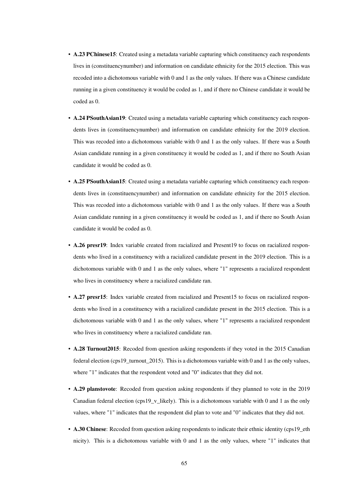- A.23 PChinese15: Created using a metadata variable capturing which constituency each respondents lives in (constituencynumber) and information on candidate ethnicity for the 2015 election. This was recoded into a dichotomous variable with 0 and 1 as the only values. If there was a Chinese candidate running in a given constituency it would be coded as 1, and if there no Chinese candidate it would be coded as 0.
- A.24 PSouthAsian19: Created using a metadata variable capturing which constituency each respondents lives in (constituencynumber) and information on candidate ethnicity for the 2019 election. This was recoded into a dichotomous variable with 0 and 1 as the only values. If there was a South Asian candidate running in a given constituency it would be coded as 1, and if there no South Asian candidate it would be coded as 0.
- A.25 PSouthAsian15: Created using a metadata variable capturing which constituency each respondents lives in (constituencynumber) and information on candidate ethnicity for the 2015 election. This was recoded into a dichotomous variable with 0 and 1 as the only values. If there was a South Asian candidate running in a given constituency it would be coded as 1, and if there no South Asian candidate it would be coded as 0.
- A.26 presr19: Index variable created from racialized and Present19 to focus on racialized respondents who lived in a constituency with a racialized candidate present in the 2019 election. This is a dichotomous variable with 0 and 1 as the only values, where "1" represents a racialized respondent who lives in constituency where a racialized candidate ran.
- A.27 presr15: Index variable created from racialized and Present15 to focus on racialized respondents who lived in a constituency with a racialized candidate present in the 2015 election. This is a dichotomous variable with 0 and 1 as the only values, where "1" represents a racialized respondent who lives in constituency where a racialized candidate ran.
- A.28 Turnout 2015: Recoded from question asking respondents if they voted in the 2015 Canadian federal election (cps19\_turnout\_2015). This is a dichotomous variable with 0 and 1 as the only values, where "1" indicates that the respondent voted and "0" indicates that they did not.
- A.29 planstovote: Recoded from question asking respondents if they planned to vote in the 2019 Canadian federal election (cps19  $\bar{v}$  likely). This is a dichotomous variable with 0 and 1 as the only values, where "1" indicates that the respondent did plan to vote and "0" indicates that they did not.
- A.30 Chinese: Recoded from question asking respondents to indicate their ethnic identity (cps19\_eth nicity). This is a dichotomous variable with 0 and 1 as the only values, where "1" indicates that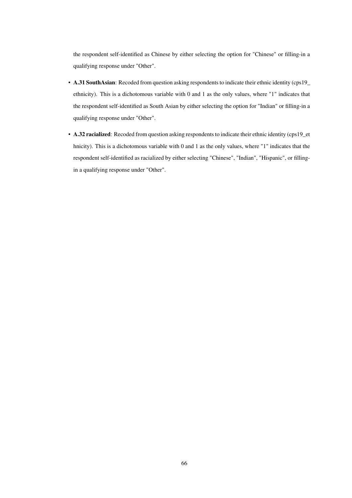the respondent self-identified as Chinese by either selecting the option for "Chinese" or filling-in a qualifying response under "Other".

- A.31 SouthAsian: Recoded from question asking respondents to indicate their ethnic identity (cps19\_ ethnicity). This is a dichotomous variable with 0 and 1 as the only values, where "1" indicates that the respondent self-identified as South Asian by either selecting the option for "Indian" or filling-in a qualifying response under "Other".
- A.32 racialized: Recoded from question asking respondents to indicate their ethnic identity (cps19\_et hnicity). This is a dichotomous variable with 0 and 1 as the only values, where "1" indicates that the respondent self-identified as racialized by either selecting "Chinese", "Indian", "Hispanic", or fillingin a qualifying response under "Other".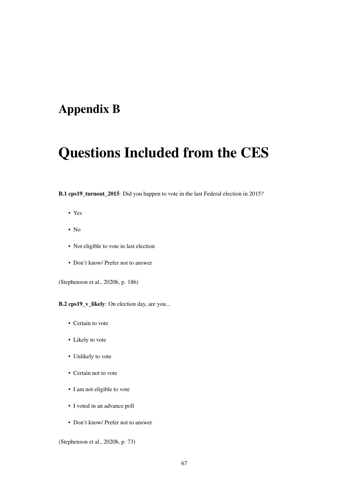## Appendix B

# Questions Included from the CES

B.1 cps19\_turnout\_2015: Did you happen to vote in the last Federal election in 2015?

- Yes
- $\bullet$  No
- Not eligible to vote in last election
- Don't know/ Prefer not to answer

(Stephenson et al., 2020b, p. 186)

B.2 cps19\_v\_likely: On election day, are you...

- Certain to vote
- Likely to vote
- Unlikely to vote
- Certain not to vote
- I am not eligible to vote
- I voted in an advance poll
- Don't know/ Prefer not to answer

(Stephenson et al., 2020b, p. 73)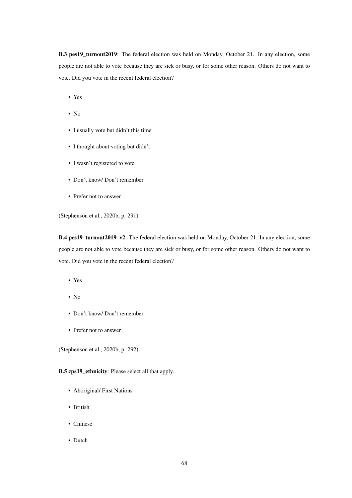B.3 pes19\_turnout2019: The federal election was held on Monday, October 21. In any election, some people are not able to vote because they are sick or busy, or for some other reason. Others do not want to vote. Did you vote in the recent federal election?

- Yes
- No
- I usually vote but didn't this time
- I thought about voting but didn't
- I wasn't registered to vote
- Don't know/ Don't remember
- Prefer not to answer

(Stephenson et al., 2020b, p. 291)

B.4 pes19\_turnout2019\_v2: The federal election was held on Monday, October 21. In any election, some people are not able to vote because they are sick or busy, or for some other reason. Others do not want to vote. Did you vote in the recent federal election?

- Yes
- No
- Don't know/ Don't remember
- Prefer not to answer

(Stephenson et al., 2020b, p. 292)

### B.5 cps19\_ethnicity: Please select all that apply.

- Aboriginal/ First Nations
- British
- Chinese
- Dutch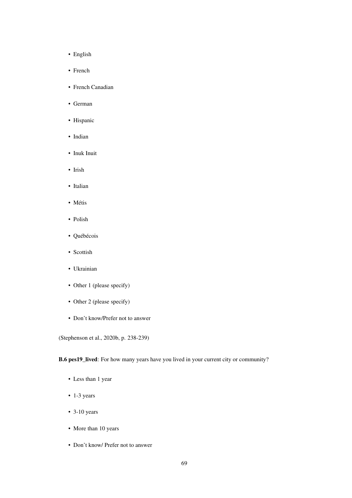- English
- French
- French Canadian
- German
- Hispanic
- Indian
- Inuk Inuit
- Irish
- Italian
- Métis
- Polish
- Québécois
- Scottish
- Ukrainian
- Other 1 (please specify)
- Other 2 (please specify)
- Don't know/Prefer not to answer

(Stephenson et al., 2020b, p. 238-239)

B.6 pes19\_lived: For how many years have you lived in your current city or community?

- Less than 1 year
- 1-3 years
- $\cdot$  3-10 years
- More than 10 years
- Don't know/ Prefer not to answer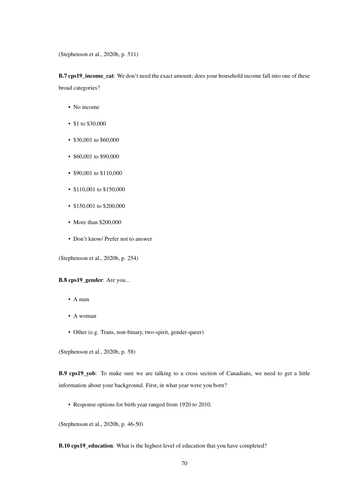(Stephenson et al., 2020b, p. 511)

B.7 cps19\_income\_cat: We don't need the exact amount; does your household income fall into one of these broad categories?

- No income
- \$1 to \$30,000
- \$30,001 to \$60,000
- \$60,001 to \$90,000
- \$90,001 to \$110,000
- \$110,001 to \$150,000
- \$150,001 to \$200,000
- More than \$200,000
- Don't know/ Prefer not to answer

(Stephenson et al., 2020b, p. 254)

#### B.8 cps19\_gender: Are you...

- A man
- A woman
- Other (e.g. Trans, non-binary, two-spirit, gender-queer)

(Stephenson et al., 2020b, p. 58)

B.9 cps19\_yob: To make sure we are talking to a cross section of Canadians, we need to get a little information about your background. First, in what year were you born?

• Response options for birth year ranged from 1920 to 2010.

(Stephenson et al., 2020b, p. 46-50)

B.10 cps19\_education: What is the highest level of education that you have completed?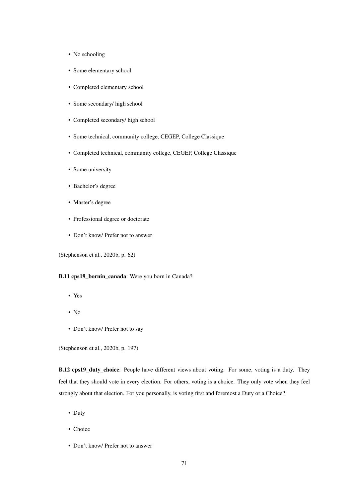- No schooling
- Some elementary school
- Completed elementary school
- Some secondary/ high school
- Completed secondary/ high school
- Some technical, community college, CEGEP, College Classique
- Completed technical, community college, CEGEP, College Classique
- Some university
- Bachelor's degree
- Master's degree
- Professional degree or doctorate
- Don't know/ Prefer not to answer

(Stephenson et al., 2020b, p. 62)

### B.11 cps19\_bornin\_canada: Were you born in Canada?

- Yes
- No
- Don't know/ Prefer not to say

(Stephenson et al., 2020b, p. 197)

B.12 cps19\_duty\_choice: People have different views about voting. For some, voting is a duty. They feel that they should vote in every election. For others, voting is a choice. They only vote when they feel strongly about that election. For you personally, is voting first and foremost a Duty or a Choice?

- Duty
- Choice
- Don't know/ Prefer not to answer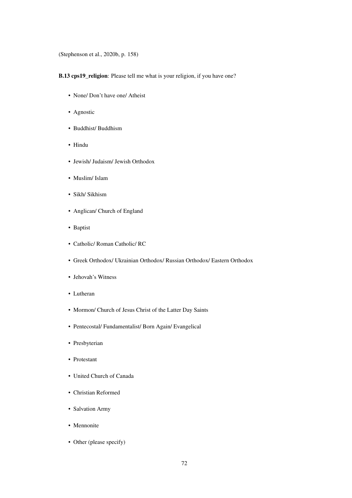(Stephenson et al., 2020b, p. 158)

B.13 cps19\_religion: Please tell me what is your religion, if you have one?

- None/ Don't have one/ Atheist
- Agnostic
- Buddhist/ Buddhism
- Hindu
- Jewish/ Judaism/ Jewish Orthodox
- Muslim/ Islam
- Sikh/ Sikhism
- Anglican/ Church of England
- Baptist
- Catholic/ Roman Catholic/ RC
- Greek Orthodox/ Ukrainian Orthodox/ Russian Orthodox/ Eastern Orthodox
- Jehovah's Witness
- Lutheran
- Mormon/ Church of Jesus Christ of the Latter Day Saints
- Pentecostal/ Fundamentalist/ Born Again/ Evangelical
- Presbyterian
- Protestant
- United Church of Canada
- Christian Reformed
- Salvation Army
- Mennonite
- Other (please specify)